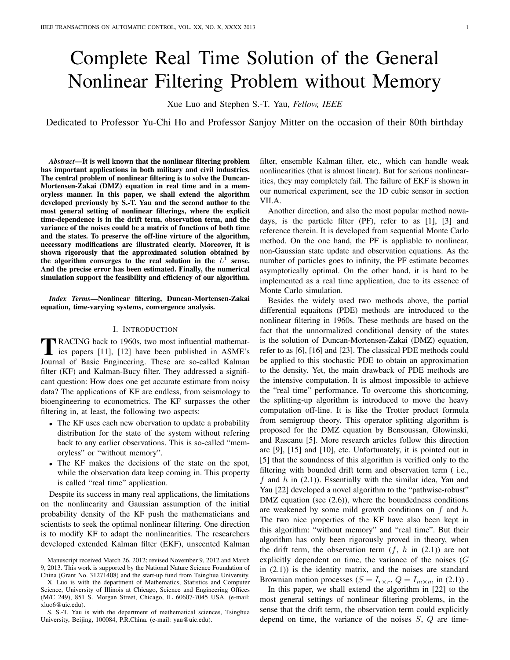# Complete Real Time Solution of the General Nonlinear Filtering Problem without Memory

Xue Luo and Stephen S.-T. Yau, *Fellow, IEEE*

Dedicated to Professor Yu-Chi Ho and Professor Sanjoy Mitter on the occasion of their 80th birthday

*Abstract*—It is well known that the nonlinear filtering problem has important applications in both military and civil industries. The central problem of nonlinear filtering is to solve the Duncan-Mortensen-Zakai (DMZ) equation in real time and in a memoryless manner. In this paper, we shall extend the algorithm developed previously by S.-T. Yau and the second author to the most general setting of nonlinear filterings, where the explicit time-dependence is in the drift term, observation term, and the variance of the noises could be a matrix of functions of both time and the states. To preserve the off-line virture of the algorithm, necessary modifications are illustrated clearly. Moreover, it is shown rigorously that the approximated solution obtained by the algorithm converges to the real solution in the  $L^1$  sense. And the precise error has been estimated. Finally, the numerical simulation support the feasibility and efficiency of our algorithm.

*Index Terms*—Nonlinear filtering, Duncan-Mortensen-Zakai equation, time-varying systems, convergence analysis.

### I. INTRODUCTION

TRACING back to 1960s, two most influential mathematics papers [11], [12] have been published in ASME's Journal of Basic Engineering. These are so-called Kalman RACING back to 1960s, two most influential mathematics papers [11], [12] have been published in ASME's filter (KF) and Kalman-Bucy filter. They addressed a significant question: How does one get accurate estimate from noisy data? The applications of KF are endless, from seismology to bioengineering to econometrics. The KF surpasses the other filtering in, at least, the following two aspects:

- The KF uses each new obervation to update a probability distribution for the state of the system without refering back to any earlier observations. This is so-called "memoryless" or "without memory".
- The KF makes the decisions of the state on the spot, while the observation data keep coming in. This property is called "real time" application.

Despite its success in many real applications, the limitations on the nonlinearity and Gaussian assumption of the initial probability density of the KF push the mathematicians and scientists to seek the optimal nonlinear filtering. One direction is to modify KF to adapt the nonlinearities. The researchers developed extended Kalman filter (EKF), unscented Kalman filter, ensemble Kalman filter, etc., which can handle weak nonlinearities (that is almost linear). But for serious nonlinearities, they may completely fail. The failure of EKF is shown in our numerical experiment, see the 1D cubic sensor in section VII.A.

Another direction, and also the most popular method nowadays, is the particle filter (PF), refer to as [1], [3] and reference therein. It is developed from sequential Monte Carlo method. On the one hand, the PF is appliable to nonlinear, non-Gaussian state update and observation equations. As the number of particles goes to infinity, the PF estimate becomes asymptotically optimal. On the other hand, it is hard to be implemented as a real time application, due to its essence of Monte Carlo simulation.

Besides the widely used two methods above, the partial differential equaitons (PDE) methods are introduced to the nonlinear filtering in 1960s. These methods are based on the fact that the unnormalized conditional density of the states is the solution of Duncan-Mortensen-Zakai (DMZ) equation, refer to as [6], [16] and [23]. The classical PDE methods could be applied to this stochastic PDE to obtain an approximation to the density. Yet, the main drawback of PDE methods are the intensive computation. It is almost impossible to achieve the "real time" performance. To overcome this shortcoming, the splitting-up algorithm is introduced to move the heavy computation off-line. It is like the Trotter product formula from semigroup theory. This operator splitting algorithm is proposed for the DMZ equation by Bensoussan, Glowinski, and Rascanu [5]. More research articles follow this direction are [9], [15] and [10], etc. Unfortunately, it is pointed out in [5] that the soundness of this algorithm is verified only to the filtering with bounded drift term and observation term ( i.e., f and  $h$  in (2.1)). Essentially with the similar idea, Yau and Yau [22] developed a novel algorithm to the "pathwise-robust" DMZ equation (see (2.6)), where the boundedness conditions are weakened by some mild growth conditions on  $f$  and  $h$ . The two nice properties of the KF have also been kept in this algorithm: "without memory" and "real time". But their algorithm has only been rigorously proved in theory, when the drift term, the observation term  $(f, h \text{ in } (2.1))$  are not explicitly dependent on time, the variance of the noises  $(G)$ in (2.1)) is the identity matrix, and the noises are standard Brownian motion processes ( $S = I_{r \times r}$ ,  $Q = I_{m \times m}$  in (2.1)).

In this paper, we shall extend the algorithm in [22] to the most general settings of nonlinear filtering problems, in the sense that the drift term, the observation term could explicitly depend on time, the variance of the noises  $S$ ,  $Q$  are time-

Manuscript received March 26, 2012; revised November 9, 2012 and March 9, 2013. This work is supported by the National Nature Science Foundation of China (Grant No. 31271408) and the start-up fund from Tsinghua University.

X. Luo is with the department of Mathematics, Statistics and Computer Science, University of Illinois at Chicago, Science and Engineering Offices (M/C 249), 851 S. Morgan Street, Chicago, IL 60607-7045 USA. (e-mail: xluo6@uic.edu).

S. S.-T. Yau is with the department of mathematical sciences, Tsinghua University, Beijing, 100084, P.R.China. (e-mail: yau@uic.edu).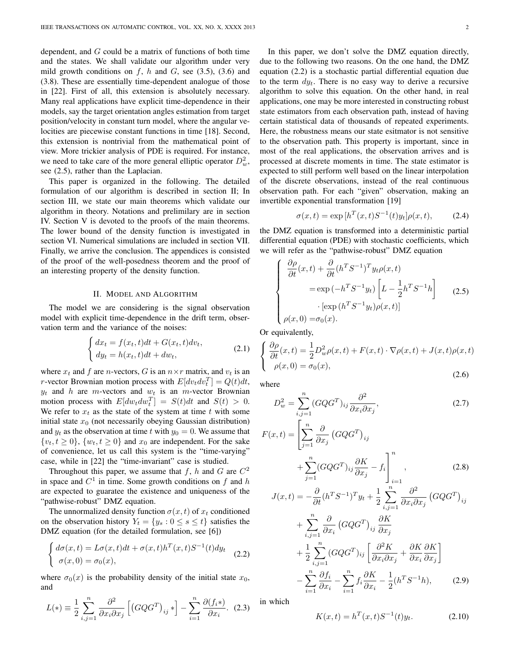dependent, and  $G$  could be a matrix of functions of both time and the states. We shall validate our algorithm under very mild growth conditions on  $f$ ,  $h$  and  $G$ , see (3.5), (3.6) and (3.8). These are essentially time-dependent analogue of those in [22]. First of all, this extension is absolutely necessary. Many real applications have explicit time-dependence in their models, say the target orientation angles estimation from target position/velocity in constant turn model, where the angular velocities are piecewise constant functions in time [18]. Second, this extension is nontrivial from the mathematical point of view. More trickier analysis of PDE is required. For instance, we need to take care of the more general elliptic operator  $D_w^2$ , see (2.5), rather than the Laplacian.

This paper is organized in the following. The detailed formulation of our algorithm is described in section II; In section III, we state our main theorems which validate our algorithm in theory. Notations and prelimilary are in section IV. Section V is devoted to the proofs of the main theorems. The lower bound of the density function is investigated in section VI. Numerical simulations are included in section VII. Finally, we arrive the conclusion. The appendices is consisted of the proof of the well-posedness theorem and the proof of an interesting property of the density function.

#### II. MODEL AND ALGORITHM

The model we are considering is the signal observation model with explicit time-dependence in the drift term, observation term and the variance of the noises:

$$
\begin{cases} dx_t = f(x_t, t)dt + G(x_t, t)dv_t, \\ dy_t = h(x_t, t)dt + dw_t, \end{cases}
$$
\n(2.1)

where  $x_t$  and f are n-vectors, G is an  $n \times r$  matrix, and  $v_t$  is an *r*-vector Brownian motion process with  $E[dv_t dv_t^T] = Q(t)dt$ ,  $y_t$  and h are m-vectors and  $w_t$  is an m-vector Brownian motion process with  $E[dw_t dw_t^T] = S(t)dt$  and  $S(t) > 0$ . We refer to  $x_t$  as the state of the system at time t with some initial state  $x_0$  (not necessarily obeying Gaussian distribution) and  $y_t$  as the observation at time t with  $y_0 = 0$ . We assume that  $\{v_t, t \geq 0\}$ ,  $\{w_t, t \geq 0\}$  and  $x_0$  are independent. For the sake of convenience, let us call this system is the "time-varying" case, while in [22] the "time-invariant" case is studied.

Throughout this paper, we assume that f, h and G are  $C^2$ in space and  $C^1$  in time. Some growth conditions on f and h are expected to guaratee the existence and uniqueness of the "pathwise-robust" DMZ equation.

The unnormalized density function  $\sigma(x, t)$  of  $x_t$  conditioned on the observation history  $Y_t = \{y_s : 0 \le s \le t\}$  satisfies the DMZ equation (for the detailed formulation, see [6])

$$
\begin{cases} d\sigma(x,t) = L\sigma(x,t)dt + \sigma(x,t)h^T(x,t)S^{-1}(t)dy_t \\ \sigma(x,0) = \sigma_0(x), \end{cases}
$$
 (2.2)

where  $\sigma_0(x)$  is the probability density of the initial state  $x_0$ , and

$$
L(*) \equiv \frac{1}{2} \sum_{i,j=1}^{n} \frac{\partial^2}{\partial x_i \partial x_j} \left[ \left( G Q G^T \right)_{ij} \ast \right] - \sum_{i=1}^{n} \frac{\partial (f_i \ast)}{\partial x_i}. \tag{2.3}
$$

In this paper, we don't solve the DMZ equation directly, due to the following two reasons. On the one hand, the DMZ equation (2.2) is a stochastic partial differential equation due to the term  $dy_t$ . There is no easy way to derive a recursive algorithm to solve this equation. On the other hand, in real applications, one may be more interested in constructing robust state estimators from each observation path, instead of having certain statistical data of thousands of repeated experiments. Here, the robustness means our state esitmator is not sensitive to the observation path. This property is important, since in most of the real applications, the observation arrives and is processed at discrete moments in time. The state estimator is expected to still perform well based on the linear interpolation of the discrete observations, instead of the real continuous observation path. For each "given" observation, making an invertible exponential transformation [19]

$$
\sigma(x,t) = \exp\left[h^T(x,t)S^{-1}(t)y_t\right]\rho(x,t),\tag{2.4}
$$

the DMZ equation is transformed into a deterministic partial differential equation (PDE) with stochastic coefficients, which we will refer as the "pathwise-robust" DMZ equation

$$
\begin{cases}\n\frac{\partial \rho}{\partial t}(x,t) + \frac{\partial}{\partial t}(h^T S^{-1})^T y_t \rho(x,t) \\
= \exp(-h^T S^{-1} y_t) \left[L - \frac{1}{2}h^T S^{-1} h\right] \\
\cdot \left[\exp(h^T S^{-1} y_t) \rho(x,t)\right] \\
\rho(x,0) = \sigma_0(x).\n\end{cases}
$$
\n(2.5)

Or equivalently,

$$
\begin{cases} \frac{\partial \rho}{\partial t}(x,t) = \frac{1}{2}D_w^2 \rho(x,t) + F(x,t) \cdot \nabla \rho(x,t) + J(x,t)\rho(x,t) \\ \rho(x,0) = \sigma_0(x), \end{cases}
$$
\n(2.6)

where

$$
D_w^2 = \sum_{i,j=1}^n (G Q G^T)_{ij} \frac{\partial^2}{\partial x_i \partial x_j},\tag{2.7}
$$

$$
F(x,t) = \left[\sum_{j=1}^{n} \frac{\partial}{\partial x_j} \left(GQG^T\right)_{ij} + \sum_{j=1}^{n} \left(GQG^T\right)_{ij} \frac{\partial K}{\partial x_j} - f_i\right]_{i=1}^{n},
$$
\n
$$
F(x,t) = \frac{\partial}{\partial} \left(f_1 T G^{-1} T\right) - f_1 \frac{\partial}{\partial x_i} \frac{\partial^2}{\partial x_i^2} - f_2 G^T G^{-1}.
$$
\n(2.8)

$$
J(x,t) = -\frac{\partial}{\partial t} (h^T S^{-1})^T y_t + \frac{1}{2} \sum_{i,j=1}^n \frac{\partial^2}{\partial x_i \partial x_j} (G Q G^T)_{ij}
$$
  
+ 
$$
\sum_{i,j=1}^n \frac{\partial}{\partial x_i} (G Q G^T)_{ij} \frac{\partial K}{\partial x_j}
$$
  
+ 
$$
\frac{1}{2} \sum_{i,j=1}^n (G Q G^T)_{ij} \left[ \frac{\partial^2 K}{\partial x_i \partial x_j} + \frac{\partial K}{\partial x_i} \frac{\partial K}{\partial x_j} \right]
$$
  
- 
$$
\sum_{i=1}^n \frac{\partial f_i}{\partial x_i} - \sum_{i=1}^n f_i \frac{\partial K}{\partial x_i} - \frac{1}{2} (h^T S^{-1} h),
$$
 (2.9)

in which

$$
K(x,t) = h^{T}(x,t)S^{-1}(t)y_{t}.
$$
 (2.10)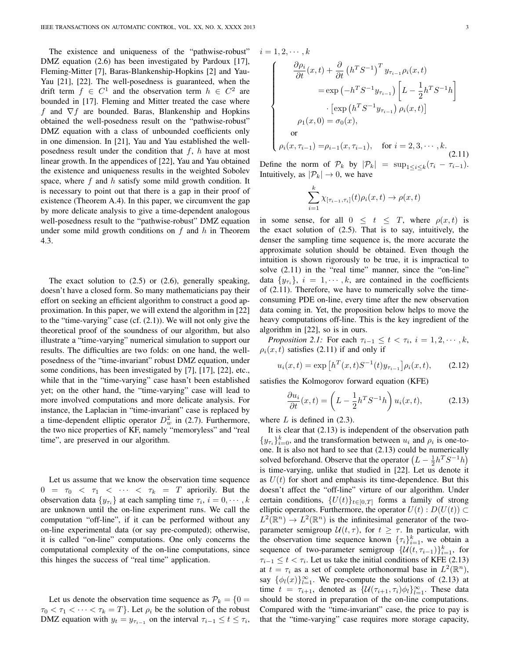The existence and uniqueness of the "pathwise-robust" DMZ equation (2.6) has been investigated by Pardoux [17], Fleming-Mitter [7], Baras-Blankenship-Hopkins [2] and Yau-Yau [21], [22]. The well-posedness is guaranteed, when the drift term  $f \in C^1$  and the observation term  $h \in C^2$  are bounded in [17]. Fleming and Mitter treated the case where f and  $\nabla f$  are bounded. Baras, Blankenship and Hopkins obtained the well-posedness result on the "pathwise-robust" DMZ equation with a class of unbounded coefficients only in one dimension. In [21], Yau and Yau established the wellposedness result under the condition that  $f$ ,  $h$  have at most linear growth. In the appendices of [22], Yau and Yau obtained the existence and uniqueness results in the weighted Sobolev space, where  $f$  and  $h$  satisfy some mild growth condition. It is necessary to point out that there is a gap in their proof of existence (Theorem A.4). In this paper, we circumvent the gap by more delicate analysis to give a time-dependent analogous well-posedness result to the "pathwise-robust" DMZ equation under some mild growth conditions on  $f$  and  $h$  in Theorem 4.3.

The exact solution to  $(2.5)$  or  $(2.6)$ , generally speaking, doesn't have a closed form. So many mathematicians pay their effort on seeking an efficient algorithm to construct a good approximation. In this paper, we will extend the algorithm in [22] to the "time-varying" case (cf. (2.1)). We will not only give the theoretical proof of the soundness of our algorithm, but also illustrate a "time-varying" numerical simulation to support our results. The difficulties are two folds: on one hand, the wellposedness of the "time-invariant" robust DMZ equation, under some conditions, has been investigated by [7], [17], [22], etc., while that in the "time-varying" case hasn't been established yet; on the other hand, the "time-varying" case will lead to more involved computations and more delicate analysis. For instance, the Laplacian in "time-invariant" case is replaced by a time-dependent elliptic operator  $D_w^2$  in (2.7). Furthermore, the two nice properties of KF, namely "memoryless" and "real time", are preserved in our algorithm.

Let us assume that we know the observation time sequence  $0 = \tau_0 < \tau_1 < \cdots < \tau_k = T$  apriorily. But the observation data  $\{y_{\tau_i}\}\$ at each sampling time  $\tau_i$ ,  $i = 0, \dots, k$ are unknown until the on-line experiment runs. We call the computation "off-line", if it can be performed without any on-line experimental data (or say pre-computed); otherwise, it is called "on-line" computations. One only concerns the computational complexity of the on-line computations, since this hinges the success of "real time" application.

Let us denote the observation time sequence as  $\mathcal{P}_k = \{0\}$  $\tau_0 < \tau_1 < \cdots < \tau_k = T$ . Let  $\rho_i$  be the solution of the robust DMZ equation with  $y_t = y_{\tau_{i-1}}$  on the interval  $\tau_{i-1} \leq t \leq \tau_i$ ,  $i = 1, 2, \cdots, k$ 

$$
\begin{cases}\n\frac{\partial \rho_i}{\partial t}(x,t) + \frac{\partial}{\partial t} (h^T S^{-1})^T y_{\tau_{i-1}} \rho_i(x,t) \\
= \exp(-h^T S^{-1} y_{\tau_{i-1}}) \left[ L - \frac{1}{2} h^T S^{-1} h \right] \\
\cdot \left[ \exp(h^T S^{-1} y_{\tau_{i-1}}) \rho_i(x,t) \right] \\
\rho_1(x,0) = \sigma_0(x), \\
\text{or} \\
\rho_i(x,\tau_{i-1}) = \rho_{i-1}(x,\tau_{i-1}), \quad \text{for } i = 2, 3, \cdots, k. \n\end{cases} (2.11)
$$

Define the norm of  $\mathcal{P}_k$  by  $|\mathcal{P}_k| = \sup_{1 \le i \le k} (\tau_i - \tau_{i-1}).$ Intuitively, as  $|\mathcal{P}_k| \to 0$ , we have

$$
\sum_{i=1}^k \chi_{[\tau_{i-1},\tau_i]}(t)\rho_i(x,t) \to \rho(x,t)
$$

in some sense, for all  $0 \leq t \leq T$ , where  $\rho(x, t)$  is the exact solution of  $(2.5)$ . That is to say, intuitively, the denser the sampling time sequence is, the more accurate the approximate solution should be obtained. Even though the intuition is shown rigorously to be true, it is impractical to solve (2.11) in the "real time" manner, since the "on-line" data  $\{y_{\tau_i}\}\$ ,  $i = 1, \dots, k$ , are contained in the coefficients of (2.11). Therefore, we have to numerically solve the timeconsuming PDE on-line, every time after the new observation data coming in. Yet, the proposition below helps to move the heavy computations off-line. This is the key ingredient of the algorithm in [22], so is in ours.

*Proposition 2.1:* For each  $\tau_{i-1} \leq t < \tau_i$ ,  $i = 1, 2, \dots, k$ ,  $\rho_i(x, t)$  satisfies (2.11) if and only if

$$
u_i(x,t) = \exp\left[h^T(x,t)S^{-1}(t)y_{\tau_{i-1}}\right]\rho_i(x,t),\qquad(2.12)
$$

satisfies the Kolmogorov forward equation (KFE)

$$
\frac{\partial u_i}{\partial t}(x,t) = \left(L - \frac{1}{2}h^T S^{-1} h\right) u_i(x,t),\tag{2.13}
$$

where  $L$  is defined in  $(2.3)$ .

It is clear that (2.13) is independent of the observation path  ${y_{\tau_i}}_{i=0}^k$ , and the transformation between  $u_i$  and  $\rho_i$  is one-toone. It is also not hard to see that (2.13) could be numerically solved beforehand. Observe that the operator  $(L - \frac{1}{2}h^T S^{-1}h)$ is time-varying, unlike that studied in [22]. Let us denote it as  $U(t)$  for short and emphasis its time-dependence. But this doesn't affect the "off-line" virture of our algorithm. Under certain conditions,  $\{U(t)\}_{t\in[0,T]}$  forms a family of strong elliptic operators. Furthermore, the operator  $U(t) : D(U(t)) \subset$  $L^2(\mathbb{R}^n) \to L^2(\mathbb{R}^n)$  is the infinitesimal generator of the twoparameter semigroup  $\mathcal{U}(t, \tau)$ , for  $t \geq \tau$ . In particular, with the observation time sequence known  $\{\tau_i\}_{i=1}^k$ , we obtain a sequence of two-parameter semigroup  $\{\mathcal{U}(t, \tau_{i-1})\}_{i=1}^k$ , for  $\tau_{i-1} \leq t < \tau_i$ . Let us take the initial conditions of KFE (2.13) at  $t = \tau_i$  as a set of complete orthonormal base in  $L^2(\mathbb{R}^n)$ , say  $\{\phi_l(x)\}_{l=1}^{\infty}$ . We pre-compute the solutions of (2.13) at time  $t = \tau_{i+1}$ , denoted as  $\{U(\tau_{i+1}, \tau_i)\phi_l\}_{l=1}^{\infty}$ . These data should be stored in preparation of the on-line computations. Compared with the "time-invariant" case, the price to pay is that the "time-varying" case requires more storage capacity,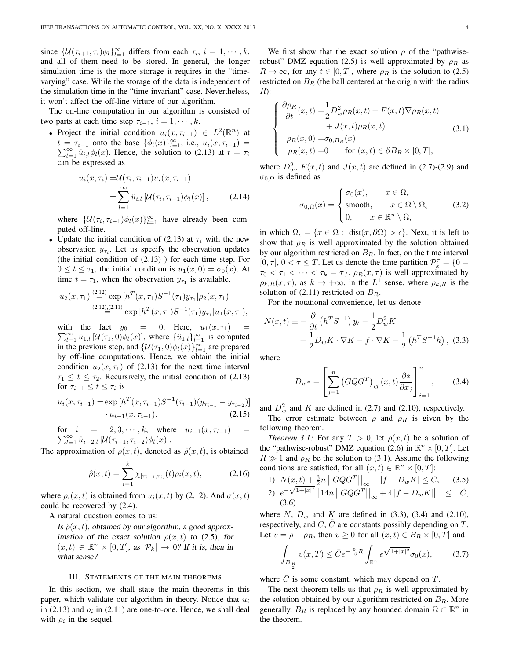since  $\{\mathcal{U}(\tau_{i+1}, \tau_i)\phi_l\}_{l=1}^{\infty}$  differs from each  $\tau_i$ ,  $i = 1, \dots, k$ , and all of them need to be stored. In general, the longer simulation time is the more storage it requires in the "timevarying" case. While the storage of the data is independent of the simulation time in the "time-invariant" case. Nevertheless, it won't affect the off-line virture of our algorithm.

The on-line computation in our algorithm is consisted of two parts at each time step  $\tau_{i-1}, i = 1, \cdots, k$ .

• Project the initial condition  $u_i(x, \tau_{i-1}) \in L^2(\mathbb{R}^n)$  at  $t = \tau_{i-1}$  onto the base  $\{\phi_l(x)\}_{l=1}^{\infty}$ , i.e.,  $u_i(x, \tau_{i-1})$  $\sum_{l=1}^{\infty} \hat{u}_{i,l} \phi_l(x)$ . Hence, the solution to (2.13) at  $t = \tau_i$ can be expressed as

$$
u_i(x, \tau_i) = \mathcal{U}(\tau_i, \tau_{i-1}) u_i(x, \tau_{i-1})
$$
  
= 
$$
\sum_{l=1}^{\infty} \hat{u}_{i,l} [\mathcal{U}(\tau_i, \tau_{i-1}) \phi_l(x)],
$$
 (2.14)

where  $\{\mathcal{U}(\tau_i, \tau_{i-1})\phi_l(x)\}_{l=1}^{\infty}$  have already been computed off-line.

• Update the initial condition of (2.13) at  $\tau_i$  with the new observation  $y_{\tau_i}$ . Let us specify the observation updates (the initial condition of  $(2.13)$ ) for each time step. For  $0 \le t \le \tau_1$ , the initial condition is  $u_1(x, 0) = \sigma_0(x)$ . At time  $t = \tau_1$ , when the observation  $y_{\tau_1}$  is available,

$$
u_2(x,\tau_1) \stackrel{(2.12)}{=} \exp\left[h^T(x,\tau_1)S^{-1}(\tau_1)y_{\tau_1}\right]\rho_2(x,\tau_1)
$$
  

$$
\stackrel{(2.12),(2.11)}{=} \exp\left[h^T(x,\tau_1)S^{-1}(\tau_1)y_{\tau_1}\right]u_1(x,\tau_1),
$$

with the fact  $y_0 = 0$ . Here,  $u_1(x, \tau_1) =$  $\sum_{l=1}^{\infty} \hat{u}_{1,l} [\mathcal{U}(\tau_1,0) \phi_l(x)]$ , where  $\{\hat{u}_{1,l}\}_{l=1}^{\infty}$  is computed in the previous step, and  $\{U(\tau_1, 0)\phi_l(x)\}_{l=1}^{\infty}$  are prepared by off-line computations. Hence, we obtain the initial condition  $u_2(x, \tau_1)$  of (2.13) for the next time interval  $\tau_1 \leq t \leq \tau_2$ . Recursively, the initial condition of (2.13) for  $\tau_{i-1} \leq t \leq \tau_i$  is

$$
u_i(x, \tau_{i-1}) = \exp\left[h^T(x, \tau_{i-1})S^{-1}(\tau_{i-1})(y_{\tau_{i-1}} - y_{\tau_{i-2}})\right] \cdot u_{i-1}(x, \tau_{i-1}),
$$
\n(2.15)

for 
$$
i = 2, 3, \dots, k
$$
, where  $u_{i-1}(x, \tau_{i-1}) = \sum_{l=1}^{\infty} \hat{u}_{i-2,l} [U(\tau_{i-1}, \tau_{i-2})\phi_l(x)].$ 

The approximation of  $\rho(x, t)$ , denoted as  $\hat{\rho}(x, t)$ , is obtained

$$
\hat{\rho}(x,t) = \sum_{i=1}^{k} \chi_{[\tau_{i-1},\tau_i]}(t)\rho_i(x,t), \tag{2.16}
$$

where  $\rho_i(x, t)$  is obtained from  $u_i(x, t)$  by (2.12). And  $\sigma(x, t)$ could be recovered by (2.4).

A natural question comes to us:

Is  $\hat{\rho}(x,t)$ , obtained by our algorithm, a good approximation of the exact solution  $\rho(x, t)$  to (2.5), for  $(x, t) \in \mathbb{R}^n \times [0, T]$ , as  $|\mathcal{P}_k| \to 0$ ? If it is, then in what sense?

#### III. STATEMENTS OF THE MAIN THEOREMS

In this section, we shall state the main theorems in this paper, which validate our algorithm in theory. Notice that  $u_i$ in (2.13) and  $\rho_i$  in (2.11) are one-to-one. Hence, we shall deal with  $\rho_i$  in the sequel.

We first show that the exact solution  $\rho$  of the "pathwiserobust" DMZ equation (2.5) is well approximated by  $\rho_R$  as  $R \to \infty$ , for any  $t \in [0, T]$ , where  $\rho_R$  is the solution to (2.5) restricted on  $B_R$  (the ball centered at the origin with the radius  $R)$ :

$$
\begin{cases}\n\frac{\partial \rho_R}{\partial t}(x,t) = \frac{1}{2} D_w^2 \rho_R(x,t) + F(x,t) \nabla \rho_R(x,t) \\
+ J(x,t) \rho_R(x,t) \\
\rho_R(x,0) = \sigma_{0,B_R}(x) \\
\rho_R(x,t) = 0 \quad \text{for } (x,t) \in \partial B_R \times [0,T],\n\end{cases} (3.1)
$$

where  $D_w^2$ ,  $F(x,t)$  and  $J(x,t)$  are defined in (2.7)-(2.9) and  $σ<sub>0,Ω</sub>$  is defined as

$$
\sigma_{0,\Omega}(x) = \begin{cases} \sigma_0(x), & x \in \Omega_{\epsilon} \\ \text{smooth}, & x \in \Omega \setminus \Omega_{\epsilon} \\ 0, & x \in \mathbb{R}^n \setminus \Omega, \end{cases}
$$
(3.2)

in which  $\Omega_{\epsilon} = \{x \in \Omega : \text{ dist}(x, \partial \Omega) > \epsilon\}.$  Next, it is left to show that  $\rho_R$  is well approximated by the solution obtained by our algorithm restricted on  $B_R$ . In fact, on the time interval [0,  $\tau$ ],  $0 < \tau \leq T$ . Let us denote the time partition  $\mathcal{P}_k^{\tau} = \{0 =$  $\tau_0 < \tau_1 < \cdots < \tau_k = \tau$ .  $\rho_R(x, \tau)$  is well approximated by  $\rho_{k,R}(x,\tau)$ , as  $k \to +\infty$ , in the  $L^1$  sense, where  $\rho_{k,R}$  is the solution of (2.11) restricted on  $B_R$ .

For the notational convenience, let us denote

$$
N(x,t) \equiv -\frac{\partial}{\partial t} \left( h^T S^{-1} \right) y_t - \frac{1}{2} D_w^2 K
$$
  
+ 
$$
\frac{1}{2} D_w K \cdot \nabla K - f \cdot \nabla K - \frac{1}{2} \left( h^T S^{-1} h \right), \quad (3.3)
$$

where

$$
D_w * = \left[\sum_{j=1}^n \left(GQG^T\right)_{ij}(x,t) \frac{\partial *}{\partial x_j}\right]_{i=1}^n, \qquad (3.4)
$$

and  $D_w^2$  and K are defined in (2.7) and (2.10), respectively.

The error estimate between  $\rho$  and  $\rho_R$  is given by the following theorem.

*Theorem 3.1:* For any  $T > 0$ , let  $\rho(x, t)$  be a solution of the "pathwise-robust" DMZ equation (2.6) in  $\mathbb{R}^n \times [0, T]$ . Let  $R \gg 1$  and  $\rho_R$  be the solution to (3.1). Assume the following conditions are satisfied, for all  $(x, t) \in \mathbb{R}^n \times [0, T]$ :

1) 
$$
N(x,t) + \frac{3}{2}n ||GQG^{T}||_{\infty} + |f - D_w K| \leq C,
$$
 (3.5)  
2)  $e^{-\sqrt{1+|x|^2}} [14n ||GQG^{T}||_{\infty} + 4|f - D_w K|] \leq \tilde{C},$   
(3.6)

where N,  $D_w$  and K are defined in (3.3), (3.4) and (2.10), respectively, and  $C, C$  are constants possibly depending on  $T$ . Let  $v = \rho - \rho_R$ , then  $v \ge 0$  for all  $(x, t) \in B_R \times [0, T]$  and

$$
\int_{B_{\frac{R}{2}}} v(x,T) \le \bar{C} e^{-\frac{9}{16}R} \int_{\mathbb{R}^n} e^{\sqrt{1+|x|^2}} \sigma_0(x), \tag{3.7}
$$

where  $C$  is some constant, which may depend on  $T$ .

The next theorem tells us that  $\rho_R$  is well approximated by the solution obtained by our algorithm restricted on  $B<sub>R</sub>$ . More generally,  $B_R$  is replaced by any bounded domain  $\Omega \subset \mathbb{R}^n$  in the theorem.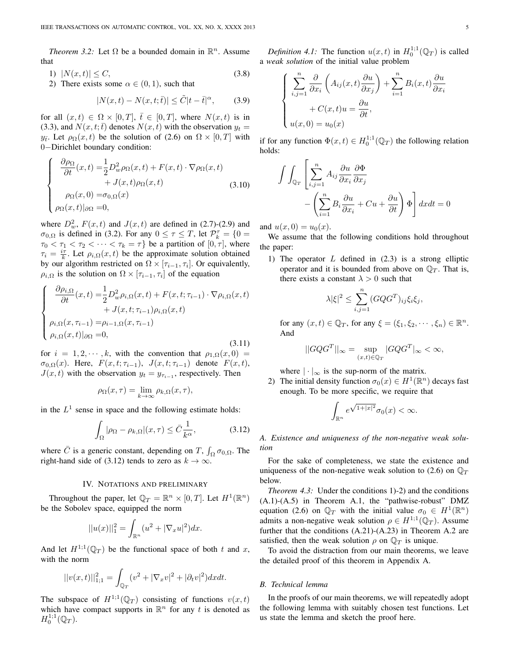*Theorem 3.2:* Let  $\Omega$  be a bounded domain in  $\mathbb{R}^n$ . Assume that

$$
1) \quad |N(x,t)| \le C,\tag{3.8}
$$

2) There exists some  $\alpha \in (0,1)$ , such that

$$
|N(x,t) - N(x,t;\bar{t})| \leq \tilde{C}|t - \bar{t}|^{\alpha}, \qquad (3.9)
$$

for all  $(x, t) \in \Omega \times [0, T]$ ,  $\overline{t} \in [0, T]$ , where  $N(x, t)$  is in (3.3), and  $N(x, t; \bar{t})$  denotes  $N(x, t)$  with the observation  $y_t =$  $y_{\bar{t}}$ . Let  $\rho_{\Omega}(x,t)$  be the solution of (2.6) on  $\Omega \times [0,T]$  with 0−Dirichlet boundary condition:

$$
\begin{cases}\n\frac{\partial \rho_{\Omega}}{\partial t}(x,t) = \frac{1}{2} D_w^2 \rho_{\Omega}(x,t) + F(x,t) \cdot \nabla \rho_{\Omega}(x,t) \\
+ J(x,t) \rho_{\Omega}(x,t) \\
\rho_{\Omega}(x,0) = \sigma_{0,\Omega}(x) \\
\rho_{\Omega}(x,t)|_{\partial\Omega} = 0,\n\end{cases}
$$
\n(3.10)

where  $D_w^2$ ,  $F(x,t)$  and  $J(x,t)$  are defined in (2.7)-(2.9) and  $\sigma_{0,\Omega}$  is defined in (3.2). For any  $0 \le \tau \le T$ , let  $\mathcal{P}_k^{\tau} = \{0 =$  $\tau_0 < \tau_1 < \tau_2 < \cdots < \tau_k = \tau$  be a partition of  $[0, \tau]$ , where  $\tau_i = \frac{i\tau}{k}$ . Let  $\rho_{i,\Omega}(x,t)$  be the approximate solution obtained by our algorithm restricted on  $\Omega \times [\tau_{i-1}, \tau_i]$ . Or equivalently,  $\rho_{i,\Omega}$  is the solution on  $\Omega \times [\tau_{i-1}, \tau_i]$  of the equation

$$
\begin{cases}\n\frac{\partial \rho_{i,\Omega}}{\partial t}(x,t) = \frac{1}{2} D_w^2 \rho_{i,\Omega}(x,t) + F(x,t;\tau_{i-1}) \cdot \nabla \rho_{i,\Omega}(x,t) \\
+ J(x,t;\tau_{i-1}) \rho_{i,\Omega}(x,t) \\
\rho_{i,\Omega}(x,\tau_{i-1}) = \rho_{i-1,\Omega}(x,\tau_{i-1}) \\
\rho_{i,\Omega}(x,t)|_{\partial\Omega} = 0,\n\end{cases} (3.11)
$$

for  $i = 1, 2, \dots, k$ , with the convention that  $\rho_{1,\Omega}(x,0) =$  $\sigma_{0,\Omega}(x)$ . Here,  $F(x,t;\tau_{i-1}), J(x,t;\tau_{i-1})$  denote  $F(x,t),$  $J(x, t)$  with the observation  $y_t = y_{\tau_{i-1}}$ , respectively. Then

$$
\rho_{\Omega}(x,\tau) = \lim_{k \to \infty} \rho_{k,\Omega}(x,\tau),
$$

in the  $L^1$  sense in space and the following estimate holds:

$$
\int_{\Omega} |\rho_{\Omega} - \rho_{k,\Omega}|(x,\tau) \le \bar{C} \frac{1}{k^{\alpha}}, \tag{3.12}
$$

where  $\bar{C}$  is a generic constant, depending on T,  $\int_{\Omega} \sigma_{0,\Omega}$ . The right-hand side of (3.12) tends to zero as  $k \to \infty$ .

#### IV. NOTATIONS AND PRELIMINARY

Throughout the paper, let  $\mathbb{Q}_T = \mathbb{R}^n \times [0,T]$ . Let  $H^1(\mathbb{R}^n)$ be the Sobolev space, equipped the norm

$$
||u(x)||_1^2 = \int_{\mathbb{R}^n} (u^2 + |\nabla_x u|^2) dx.
$$

And let  $H^{1,1}(\mathbb{Q}_T)$  be the functional space of both t and x, with the norm

$$
||v(x,t)||_{1;1}^{2} = \int_{\mathbb{Q}_{T}} (v^{2} + |\nabla_{x}v|^{2} + |\partial_{t}v|^{2}) dxdt.
$$

The subspace of  $H^{1,1}(\mathbb{Q}_T)$  consisting of functions  $v(x,t)$ which have compact supports in  $\mathbb{R}^n$  for any t is denoted as  $H_0^{1;1}(\mathbb{Q}_T).$ 

*Definition 4.1:* The function  $u(x,t)$  in  $H_0^{1,1}(\mathbb{Q}_T)$  is called a *weak solution* of the initial value problem

$$
\begin{cases}\n\sum_{i,j=1}^{n} \frac{\partial}{\partial x_i} \left( A_{ij}(x,t) \frac{\partial u}{\partial x_j} \right) + \sum_{i=1}^{n} B_i(x,t) \frac{\partial u}{\partial x_i} \\
+ C(x,t)u = \frac{\partial u}{\partial t}, \\
u(x,0) = u_0(x)\n\end{cases}
$$

if for any function  $\Phi(x,t) \in H_0^{1,1}(\mathbb{Q}_T)$  the following relation holds:

$$
\int \int_{\mathbb{Q}_T} \left[ \sum_{i,j=1}^n A_{ij} \frac{\partial u}{\partial x_i} \frac{\partial \Phi}{\partial x_j} - \left( \sum_{i=1}^n B_i \frac{\partial u}{\partial x_i} + Cu + \frac{\partial u}{\partial t} \right) \Phi \right] dx dt = 0
$$

and  $u(x, 0) = u_0(x)$ .

We assume that the following conditions hold throughout the paper:

1) The operator  $L$  defined in  $(2.3)$  is a strong elliptic operator and it is bounded from above on  $\mathbb{Q}_T$ . That is, there exists a constant  $\lambda > 0$  such that

$$
\lambda |\xi|^2 \le \sum_{i,j=1}^n (G Q G^T)_{ij} \xi_i \xi_j,
$$

for any  $(x, t) \in \mathbb{Q}_T$ , for any  $\xi = (\xi_1, \xi_2, \dots, \xi_n) \in \mathbb{R}^n$ . And

$$
||GQG^{T}||_{\infty} = \sup_{(x,t)\in\mathbb{Q}^T} |GQG^{T}|_{\infty} < \infty,
$$

where  $|\cdot|_{\infty}$  is the sup-norm of the matrix.

2) The initial density function  $\sigma_0(x) \in H^1(\mathbb{R}^n)$  decays fast enough. To be more specific, we require that

$$
\int_{\mathbb{R}^n} e^{\sqrt{1+|x|^2}} \sigma_0(x) < \infty.
$$

*A. Existence and uniqueness of the non-negative weak solution*

For the sake of completeness, we state the existence and uniqueness of the non-negative weak solution to (2.6) on  $\mathbb{O}_T$ below.

*Theorem 4.3:* Under the conditions 1)-2) and the conditions (A.1)-(A.5) in Theorem A.1, the "pathwise-robust" DMZ equation (2.6) on  $\mathbb{Q}_T$  with the initial value  $\sigma_0 \in H^1(\mathbb{R}^n)$ admits a non-negative weak solution  $\rho \in H^{1,1}(\mathbb{Q}_T)$ . Assume further that the conditions (A.21)-(A.23) in Theorem A.2 are satisfied, then the weak solution  $\rho$  on  $\mathbb{Q}_T$  is unique.

To avoid the distraction from our main theorems, we leave the detailed proof of this theorem in Appendix A.

#### *B. Technical lemma*

In the proofs of our main theorems, we will repeatedly adopt the following lemma with suitably chosen test functions. Let us state the lemma and sketch the proof here.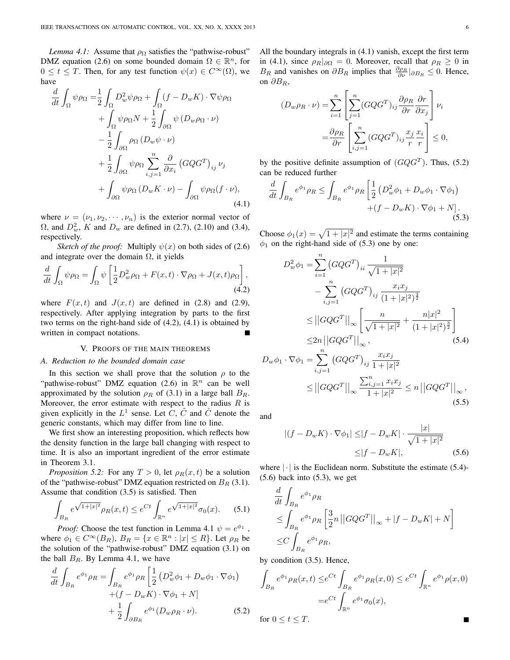*Lemma 4.1:* Assume that  $\rho_{\Omega}$  satisfies the "pathwise-robust" DMZ equation (2.6) on some bounded domain  $\Omega \in \mathbb{R}^n$ , for  $0 \le t \le T$ . Then, for any test function  $\psi(x) \in C^{\infty}(\Omega)$ , we have

$$
\frac{d}{dt} \int_{\Omega} \psi \rho_{\Omega} = \frac{1}{2} \int_{\Omega} D_w^2 \psi \rho_{\Omega} + \int_{\Omega} (f - D_w K) \cdot \nabla \psi \rho_{\Omega} \n+ \int_{\Omega} \psi \rho_{\Omega} N + \frac{1}{2} \int_{\partial \Omega} \psi (D_w \rho_{\Omega} \cdot \nu) \n- \frac{1}{2} \int_{\partial \Omega} \rho_{\Omega} (D_w \psi \cdot \nu) \n+ \frac{1}{2} \int_{\partial \Omega} \psi \rho_{\Omega} \sum_{i,j=1}^n \frac{\partial}{\partial x_i} (G Q G^T)_{ij} \nu_j \n+ \int_{\partial \Omega} \psi \rho_{\Omega} (D_w K \cdot \nu) - \int_{\partial \Omega} \psi \rho_{\Omega} (f \cdot \nu),
$$
\n(4.1)

where  $\nu = (\nu_1, \nu_2, \cdots, \nu_n)$  is the exterior normal vector of  $\Omega$ , and  $D_w^2$ , K and  $D_w$  are defined in (2.7), (2.10) and (3.4), respectively.

*Sketch of the proof:* Multiply  $\psi(x)$  on both sides of (2.6) and integrate over the domain  $\Omega$ , it yields

$$
\frac{d}{dt} \int_{\Omega} \psi \rho_{\Omega} = \int_{\Omega} \psi \left[ \frac{1}{2} D_w^2 \rho_{\Omega} + F(x, t) \cdot \nabla \rho_{\Omega} + J(x, t) \rho_{\Omega} \right],
$$
\n(4.2)

where  $F(x, t)$  and  $J(x, t)$  are defined in (2.8) and (2.9), respectively. After applying integration by parts to the first two terms on the right-hand side of (4.2), (4.1) is obtained by written in compact notations.

## V. PROOFS OF THE MAIN THEOREMS

## *A. Reduction to the bounded domain case*

In this section we shall prove that the solution  $\rho$  to the "pathwise-robust" DMZ equation (2.6) in  $\mathbb{R}^n$  can be well approximated by the solution  $\rho_R$  of (3.1) in a large ball  $B_R$ . Moreover, the error estimate with respect to the radius  $R$  is given explicitly in the  $L^1$  sense. Let  $C$ ,  $\tilde{C}$  and  $\hat{C}$  denote the generic constants, which may differ from line to line.

We first show an interesting proposition, which reflects how the density function in the large ball changing with respect to time. It is also an important ingredient of the error estimate in Theorem 3.1.

*Proposition 5.2:* For any  $T > 0$ , let  $\rho_R(x, t)$  be a solution of the "pathwise-robust" DMZ equation restricted on  $B_R$  (3.1). Assume that condition (3.5) is satisfied. Then

$$
\int_{B_R} e^{\sqrt{1+|x|^2}} \rho_R(x,t) \le e^{Ct} \int_{\mathbb{R}^n} e^{\sqrt{1+|x|^2}} \sigma_0(x). \tag{5.1}
$$

*Proof:* Choose the test function in Lemma 4.1  $\psi = e^{\phi_1}$ , where  $\phi_1 \in C^{\infty}(B_R)$ ,  $B_R = \{x \in \mathbb{R}^n : |x| \le R\}$ . Let  $\rho_R$  be the solution of the "pathwise-robust" DMZ equation (3.1) on the ball  $B_R$ . By Lemma 4.1, we have

$$
\frac{d}{dt} \int_{B_R} e^{\phi_1} \rho_R = \int_{B_R} e^{\phi_1} \rho_R \left[ \frac{1}{2} \left( D_w^2 \phi_1 + D_w \phi_1 \cdot \nabla \phi_1 \right) \right. \\ \left. + \left( f - D_w K \right) \cdot \nabla \phi_1 + N \right] \\ \left. + \frac{1}{2} \int_{\partial B_R} e^{\phi_1} (D_w \rho_R \cdot \nu). \right. \tag{5.2}
$$

All the boundary integrals in (4.1) vanish, except the first term in (4.1), since  $\rho_R|_{\partial\Omega} = 0$ . Moreover, recall that  $\rho_R \geq 0$  in  $B_R$  and vanishes on  $\partial B_R$  implies that  $\frac{\partial \rho_R}{\partial \nu}|_{\partial B_R} \leq 0$ . Hence, on  $\partial B_R$ ,

$$
(D_w \rho_R \cdot \nu) = \sum_{i=1}^n \left[ \sum_{j=1}^n (G Q G^T)_{ij} \frac{\partial \rho_R}{\partial r} \frac{\partial r}{\partial x_j} \right] \nu_i
$$
  

$$
= \frac{\partial \rho_R}{\partial r} \left[ \sum_{i,j=1}^n (G Q G^T)_{ij} \frac{x_j}{r} \frac{x_i}{r} \right] \le 0,
$$

by the positive definite assumption of  $(GQG^{T})$ . Thus, (5.2) can be reduced further

$$
\frac{d}{dt} \int_{B_R} e^{\phi_1} \rho_R \le \int_{B_R} e^{\phi_1} \rho_R \left[ \frac{1}{2} \left( D_w^2 \phi_1 + D_w \phi_1 \cdot \nabla \phi_1 \right) \right. \\ \left. + \left( f - D_w K \right) \cdot \nabla \phi_1 + N \right]. \tag{5.3}
$$

Choose  $\phi_1(x) = \sqrt{1 + |x|^2}$  and estimate the terms containing  $\phi_1$  on the right-hand side of (5.3) one by one:

$$
D_w^2 \phi_1 = \sum_{i=1}^n (GQG^T)_{ii} \frac{1}{\sqrt{1+|x|^2}}
$$
  
\n
$$
-\sum_{i,j=1}^n (GQG^T)_{ij} \frac{x_i x_j}{(1+|x|^2)^{\frac{3}{2}}}
$$
  
\n
$$
\leq ||GQG^T||_{\infty} \left[ \frac{n}{\sqrt{1+|x|^2}} + \frac{n|x|^2}{(1+|x|^2)^{\frac{3}{2}}} \right]
$$
  
\n
$$
\leq 2n ||GQG^T||_{\infty},
$$
  
\n
$$
\phi_1 \cdot \nabla \phi_1 = \sum_{i=1}^n (GQG^T)_{ii} \frac{x_i x_j}{(1+|x|^2)^{\frac{3}{2}}}
$$
 (5.4)

$$
D_w \phi_1 \cdot \nabla \phi_1 = \sum_{i,j=1} (GQG^T)_{ij} \frac{x_i x_j}{1+|x|^2}
$$
  
 
$$
\leq ||GQG^T||_{\infty} \frac{\sum_{i,j=1}^n x_i x_j}{1+|x|^2} \leq n ||GQG^T||_{\infty},
$$
  
(5.5)

and

$$
|(f - D_w K) \cdot \nabla \phi_1| \le |f - D_w K| \cdot \frac{|x|}{\sqrt{1 + |x|^2}}
$$
  
 
$$
\le |f - D_w K|,
$$
 (5.6)

where  $|\cdot|$  is the Euclidean norm. Substitute the estimate (5.4)- $(5.6)$  back into  $(5.3)$ , we get

$$
\frac{d}{dt} \int_{B_R} e^{\phi_1} \rho_R
$$
\n
$$
\leq \int_{B_R} e^{\phi_1} \rho_R \left[ \frac{3}{2} n \left| \left| G Q G^T \right| \right|_{\infty} + |f - D_w K| + N \right]
$$
\n
$$
\leq C \int_{B_R} e^{\phi_1} \rho_R,
$$

by condition (3.5). Hence,

$$
\int_{B_R} e^{\phi_1} \rho_R(x,t) \leq e^{Ct} \int_{B_R} e^{\phi_1} \rho_R(x,0) \leq e^{Ct} \int_{\mathbb{R}^n} e^{\phi_1} \rho(x,0)
$$

$$
= e^{Ct} \int_{\mathbb{R}^n} e^{\phi_1} \sigma_0(x),
$$
for  $0 < t < T$ 

for 
$$
0 \leq t \leq T
$$
.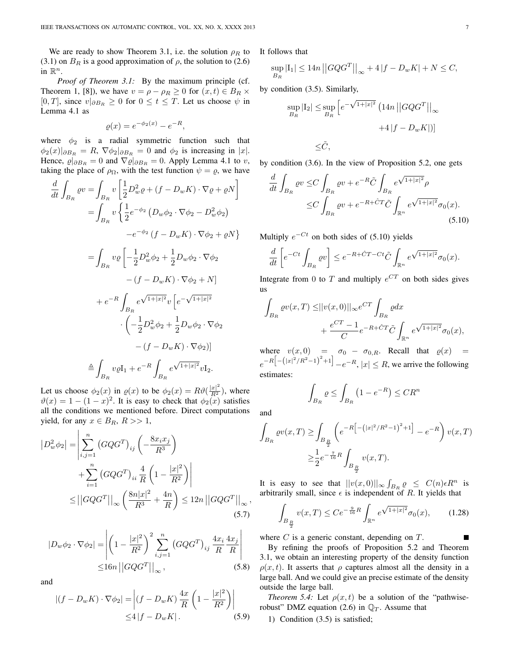We are ready to show Theorem 3.1, i.e. the solution  $\rho_R$  to (3.1) on  $B_R$  is a good approximation of  $\rho$ , the solution to (2.6) in  $\mathbb{R}^n$ .

*Proof of Theorem 3.1:* By the maximum principle (cf. Theorem 1, [8]), we have  $v = \rho - \rho_R \ge 0$  for  $(x, t) \in B_R \times$ [0, T], since  $v|_{\partial B_R} \ge 0$  for  $0 \le t \le T$ . Let us choose  $\psi$  in Lemma 4.1 as

$$
\varrho(x) = e^{-\phi_2(x)} - e^{-R},
$$

where  $\phi_2$  is a radial symmetric function such that  $\phi_2(x)|_{\partial B_R} = R$ ,  $\nabla \phi_2|_{\partial B_R} = 0$  and  $\phi_2$  is increasing in |x|. Hence,  $\varrho|_{\partial B_R} = 0$  and  $\nabla \varrho|_{\partial B_R} = 0$ . Apply Lemma 4.1 to v, taking the place of  $\rho_{\Omega}$ , with the test function  $\psi = \rho$ , we have

$$
\frac{d}{dt} \int_{B_R} \varrho v = \int_{B_R} v \left[ \frac{1}{2} D_w^2 \varrho + (f - D_w K) \cdot \nabla \varrho + \varrho N \right]
$$

$$
= \int_{B_R} v \left\{ \frac{1}{2} e^{-\phi_2} \left( D_w \phi_2 \cdot \nabla \phi_2 - D_w^2 \phi_2 \right) \right.
$$

$$
-e^{-\phi_2} \left( f - D_w K \right) \cdot \nabla \phi_2 + \varrho N \}
$$

$$
= \int_{B_R} v \varrho \left[ -\frac{1}{2} D_w^2 \phi_2 + \frac{1}{2} D_w \phi_2 \cdot \nabla \phi_2 \right. \\ - (f - D_w K) \cdot \nabla \phi_2 + N] \\ + e^{-R} \int_{B_R} e^{\sqrt{1+|x|^2}} v \left[ e^{-\sqrt{1+|x|^2}} \right. \\ \left. \cdot \left( -\frac{1}{2} D_w^2 \phi_2 + \frac{1}{2} D_w \phi_2 \cdot \nabla \phi_2 \right. \right. \\ - (f - D_w K) \cdot \nabla \phi_2 \right)] \\ \triangleq \int_{B_R} v \varrho I_1 + e^{-R} \int_{B_R} e^{\sqrt{1+|x|^2}} v I_2.
$$

Let us choose  $\phi_2(x)$  in  $\rho(x)$  to be  $\phi_2(x) = R\vartheta(\frac{|x|^2}{R^2})$ , where  $\vartheta(x) = 1 - (1 - x)^2$ . It is easy to check that  $\phi_2(x)$  satisfies all the conditions we mentioned before. Direct computations yield, for any  $x \in B_R$ ,  $R >> 1$ ,

$$
|D_w^2 \phi_2| = \left| \sum_{i,j=1}^n (GQG^T)_{ij} \left( -\frac{8x_i x_j}{R^3} \right) + \sum_{i=1}^n (GQG^T)_{ii} \frac{4}{R} \left( 1 - \frac{|x|^2}{R^2} \right) \right|
$$
  
 
$$
\leq ||GQG^T||_{\infty} \left( \frac{8n|x|^2}{R^3} + \frac{4n}{R} \right) \leq 12n ||GQG^T||_{\infty},
$$
  
(5.7)

$$
|D_w \phi_2 \cdot \nabla \phi_2| = \left| \left( 1 - \frac{|x|^2}{R^2} \right)^2 \sum_{i,j=1}^n \left( G Q G^T \right)_{ij} \frac{4x_i}{R} \frac{4x_j}{R} \right|
$$
  
 
$$
\leq 16n \left| \left| G Q G^T \right| \right|_{\infty}, \tag{5.8}
$$

and

$$
\left| (f - D_w K) \cdot \nabla \phi_2 \right| = \left| (f - D_w K) \frac{4x}{R} \left( 1 - \frac{|x|^2}{R^2} \right) \right|
$$
  
 
$$
\leq 4 \left| f - D_w K \right|.
$$
 (5.9)

It follows that

$$
\sup_{B_R} |I_1| \le 14n ||GQG^T||_{\infty} + 4|f - D_w K| + N \le C,
$$

by condition (3.5). Similarly,

$$
\sup_{B_R} |I_2| \le \sup_{B_R} \left[ e^{-\sqrt{1+|x|^2}} \left( 14n \left| \left| G Q G^T \right| \right|_\infty \right. \right.+4 \left| f - D_w K \right|) \right] \le \tilde{C},
$$

by condition (3.6). In the view of Proposition 5.2, one gets

$$
\frac{d}{dt} \int_{B_R} \varrho v \leq C \int_{B_R} \varrho v + e^{-R} \tilde{C} \int_{B_R} e^{\sqrt{1+|x|^2}} \rho
$$
  

$$
\leq C \int_{B_R} \varrho v + e^{-R + \tilde{C}T} \tilde{C} \int_{\mathbb{R}^n} e^{\sqrt{1+|x|^2}} \sigma_0(x).
$$
\n(5.10)

Multiply  $e^{-Ct}$  on both sides of (5.10) yields

$$
\frac{d}{dt}\left[e^{-Ct}\int_{B_R}\varrho v\right]\leq e^{-R+\hat{C}T-Ct}\tilde{C}\int_{\mathbb{R}^n}e^{\sqrt{1+|x|^2}}\sigma_0(x).
$$

Integrate from 0 to T and multiply  $e^{CT}$  on both sides gives us

$$
\int_{B_R} \varrho v(x,T) \leq ||v(x,0)||_{\infty} e^{CT} \int_{B_R} \varrho dx
$$
  
+ 
$$
\frac{e^{CT} - 1}{C} e^{-R + \hat{C}T} \tilde{C} \int_{\mathbb{R}^n} e^{\sqrt{1 + |x|^2}} \sigma_0(x),
$$

where  $v(x, 0) = \sigma_0 - \sigma_{0,R}$ . Recall that  $\varrho(x)$  $e^{-R\left[-\left(|x|^2/R^2-1\right)^2+1\right]} - e^{-R}$ ,  $|x| \le R$ , we arrive the following estimates:

$$
\int_{B_R} \varrho \le \int_{B_R} \left( 1 - e^{-R} \right) \le CR^n
$$

and

$$
\int_{B_R} \varrho v(x,T) \ge \int_{B_{\frac{R}{2}}} \left( e^{-R\left[ - (|x|^2/R^2 - 1)^2 + 1 \right]} - e^{-R} \right) v(x,T)
$$
  

$$
\ge \frac{1}{2} e^{-\frac{7}{16}R} \int_{B_{\frac{R}{2}}} v(x,T).
$$

It is easy to see that  $||v(x,0)||_{\infty} \int_{B_R} \varrho \leq C(n) \epsilon R^n$  is arbitrarily small, since  $\epsilon$  is independent of R. It yields that

$$
\int_{B_{\frac{R}{2}}} v(x,T) \le Ce^{-\frac{9}{16}R} \int_{\mathbb{R}^n} e^{\sqrt{1+|x|^2}} \sigma_0(x), \qquad (1.28)
$$

П

where  $C$  is a generic constant, depending on  $T$ .

By refining the proofs of Proposition 5.2 and Theorem 3.1, we obtain an interesting property of the density function  $\rho(x, t)$ . It asserts that *ρ* captures almost all the density in a large ball. And we could give an precise estimate of the density outside the large ball.

*Theorem 5.4:* Let  $\rho(x, t)$  be a solution of the "pathwiserobust" DMZ equation (2.6) in  $\mathbb{Q}_T$ . Assume that

1) Condition (3.5) is satisfied;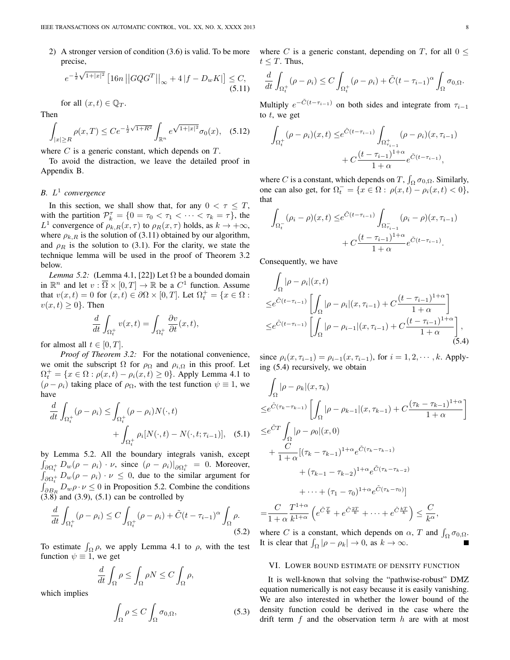2) A stronger version of condition (3.6) is valid. To be more precise,

$$
e^{-\frac{1}{2}\sqrt{1+|x|^2}} \left[16n \left| \left| GQG^T \right| \right|_{\infty} + 4 \left| f - D_w K \right| \right] \le C, \tag{5.11}
$$

for all  $(x, t) \in \mathbb{O}_T$ .

Then

$$
\int_{|x| \ge R} \rho(x,T) \le C e^{-\frac{1}{2}\sqrt{1+R^2}} \int_{\mathbb{R}^n} e^{\sqrt{1+|x|^2}} \sigma_0(x), \quad (5.12)
$$

where  $C$  is a generic constant, which depends on  $T$ .

To avoid the distraction, we leave the detailed proof in Appendix B.

# *B.* L 1 *convergence*

In this section, we shall show that, for any  $0 < \tau \leq T$ , with the partition  $\mathcal{P}_k^{\tau} = \{0 = \tau_0 < \tau_1 < \cdots < \tau_k = \tau\}$ , the L<sup>1</sup> convergence of  $\rho_{k,R}(x,\tau)$  to  $\rho_R(x,\tau)$  holds, as  $k \to +\infty$ , where  $\rho_{k,R}$  is the solution of (3.11) obtained by our algorithm, and  $\rho_R$  is the solution to (3.1). For the clarity, we state the technique lemma will be used in the proof of Theorem 3.2 below.

*Lemma 5.2:* (Lemma 4.1, [22]) Let  $\Omega$  be a bounded domain in  $\mathbb{R}^n$  and let  $v : \overline{\Omega} \times [0, T] \to \mathbb{R}$  be a  $C^1$  function. Assume that  $v(x,t) = 0$  for  $(x,t) \in \partial\Omega \times [0,T]$ . Let  $\Omega_t^+ = \{x \in \Omega :$  $v(x, t) \geq 0$ . Then

$$
\frac{d}{dt} \int_{\Omega_t^+} v(x,t) = \int_{\Omega_t^+} \frac{\partial v}{\partial t}(x,t),
$$

for almost all  $t \in [0, T]$ .

*Proof of Theorem 3.2:* For the notational convenience, we omit the subscript  $\Omega$  for  $\rho_{\Omega}$  and  $\rho_{i,\Omega}$  in this proof. Let  $\Omega_t^+ = \{x \in \Omega : \rho(x,t) - \rho_i(x,t) \ge 0\}$ . Apply Lemma 4.1 to  $(\rho - \rho_i)$  taking place of  $\rho_{\Omega}$ , with the test function  $\psi \equiv 1$ , we have

$$
\frac{d}{dt} \int_{\Omega_t^+} (\rho - \rho_i) \le \int_{\Omega_t^+} (\rho - \rho_i) N(\cdot, t) + \int_{\Omega_t^+} \rho_i [N(\cdot, t) - N(\cdot, t; \tau_{i-1})], \quad (5.1)
$$

by Lemma 5.2. All the boundary integrals vanish, except  $\int_{\partial\Omega_t^+} D_w(\rho - \rho_i) \cdot \nu$ , since  $(\rho - \rho_i)|_{\partial\Omega_t^+} = 0$ . Moreover,  $\int_{\partial\Omega_t^+} D_w(\rho - \rho_i) \cdot \nu \leq 0$ , due to the similar argument for  $\int_{\partial B_R} D_w \rho \cdot \nu \leq 0$  in Proposition 5.2. Combine the conditions  $(3.8)$  and  $(3.9)$ ,  $(5.1)$  can be controlled by

$$
\frac{d}{dt} \int_{\Omega_t^+} (\rho - \rho_i) \le C \int_{\Omega_t^+} (\rho - \rho_i) + \tilde{C} (t - \tau_{i-1})^{\alpha} \int_{\Omega} \rho.
$$
\n(5.2)

To estimate  $\int_{\Omega} \rho$ , we apply Lemma 4.1 to  $\rho$ , with the test function  $\psi \equiv 1$ , we get

$$
\frac{d}{dt} \int_{\Omega} \rho \le \int_{\Omega} \rho N \le C \int_{\Omega} \rho,
$$

which implies

$$
\int_{\Omega} \rho \le C \int_{\Omega} \sigma_{0,\Omega},\tag{5.3}
$$

where C is a generic constant, depending on T, for all  $0 \le$  $t \leq T$ . Thus,

$$
\frac{d}{dt} \int_{\Omega_t^+} (\rho - \rho_i) \le C \int_{\Omega_t^+} (\rho - \rho_i) + \tilde{C} (t - \tau_{i-1})^{\alpha} \int_{\Omega} \sigma_{0,\Omega}.
$$

Multiply  $e^{-\tilde{C}(t-\tau_{i-1})}$  on both sides and integrate from  $\tau_{i-1}$ to  $t$ , we get

$$
\int_{\Omega_t^+} (\rho - \rho_i)(x, t) \leq e^{\tilde{C}(t - \tau_{i-1})} \int_{\Omega_{\tau_{i-1}}^+} (\rho - \rho_i)(x, \tau_{i-1}) + C \frac{(t - \tau_{i-1})^{1+\alpha}}{1+\alpha} e^{\tilde{C}(t - \tau_{i-1})},
$$

where *C* is a constant, which depends on *T*,  $\int_{\Omega} \sigma_{0,\Omega}$ . Similarly, one can also get, for  $\Omega_t^- = \{x \in \Omega : \rho(x, t) - \rho_i(x, t) < 0\},$ that

$$
\int_{\Omega_t^-} (\rho_i - \rho)(x, t) \leq e^{\tilde{C}(t - \tau_{i-1})} \int_{\Omega_{\tau_{i-1}}^-} (\rho_i - \rho)(x, \tau_{i-1}) + C \frac{(t - \tau_{i-1})^{1+\alpha}}{1+\alpha} e^{\tilde{C}(t - \tau_{i-1})}.
$$

Consequently, we have

$$
\int_{\Omega} |\rho - \rho_i|(x, t) \leq e^{\tilde{C}(t - \tau_{i-1})} \left[ \int_{\Omega} |\rho - \rho_i|(x, \tau_{i-1}) + C \frac{(t - \tau_{i-1})^{1+\alpha}}{1+\alpha} \right] \leq e^{\tilde{C}(t - \tau_{i-1})} \left[ \int_{\Omega} |\rho - \rho_{i-1}|(x, \tau_{i-1}) + C \frac{(t - \tau_{i-1})^{1+\alpha}}{1+\alpha} \right],
$$
\n(5.4)

since  $\rho_i(x, \tau_{i-1}) = \rho_{i-1}(x, \tau_{i-1})$ , for  $i = 1, 2, \cdots, k$ . Applying (5.4) recursively, we obtain

$$
\int_{\Omega} |\rho - \rho_k|(x, \tau_k)
$$
\n
$$
\leq e^{\tilde{C}(\tau_k - \tau_{k-1})} \left[ \int_{\Omega} |\rho - \rho_{k-1}|(x, \tau_{k-1}) + C \frac{(\tau_k - \tau_{k-1})^{1+\alpha}}{1+\alpha} \right]
$$
\n
$$
\leq e^{\tilde{C}T} \int_{\Omega} |\rho - \rho_0|(x, 0)
$$
\n
$$
+ \frac{C}{1+\alpha} [(\tau_k - \tau_{k-1})^{1+\alpha} e^{\tilde{C}(\tau_k - \tau_{k-1})}
$$
\n
$$
+ (\tau_{k-1} - \tau_{k-2})^{1+\alpha} e^{\tilde{C}(\tau_k - \tau_{k-2})}
$$
\n
$$
+ \cdots + (\tau_1 - \tau_0)^{1+\alpha} e^{\tilde{C}(\tau_k - \tau_0)}]
$$
\n
$$
= \frac{C}{1+\alpha} \frac{T^{1+\alpha}}{k^{1+\alpha}} \left( e^{\tilde{C}\frac{T}{k}} + e^{\tilde{C}\frac{2T}{k}} + \cdots + e^{\tilde{C}\frac{kT}{k}} \right) \leq \frac{C}{k^{\alpha}},
$$

where C is a constant, which depends on  $\alpha$ , T and  $\int_{\Omega} \sigma_{0,\Omega}$ . It is clear that  $\int_{\Omega} |\rho - \rho_k| \to 0$ , as  $k \to \infty$ .

#### VI. LOWER BOUND ESTIMATE OF DENSITY FUNCTION

It is well-known that solving the "pathwise-robust" DMZ equation numerically is not easy because it is easily vanishing. We are also interested in whether the lower bound of the density function could be derived in the case where the drift term  $f$  and the observation term  $h$  are with at most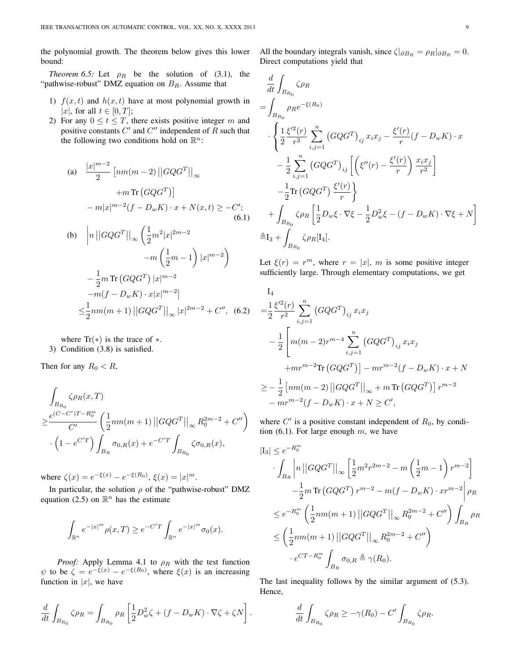the polynomial growth. The theorem below gives this lower bound:

*Theorem 6.5:* Let  $\rho_R$  be the solution of (3.1), the "pathwise-robust" DMZ equation on  $B<sub>R</sub>$ . Assume that

- 1)  $f(x, t)$  and  $h(x, t)$  have at most polynomial growth in |x|, for all  $t \in [0, T]$ ;
- 2) For any  $0 \le t \le T$ , there exists positive integer m and positive constants  $C'$  and  $C''$  independent of R such that the following two conditions hold on  $\mathbb{R}^n$ :

(a) 
$$
\frac{|x|^{m-2}}{2} \left[ nm(m-2) ||GQG^{T}||_{\infty} + m \operatorname{Tr} (GQG^{T}) \right]
$$

$$
+ m \operatorname{Tr} (GQG^{T}) ]
$$

$$
- m|x|^{m-2} (f - D_{w}K) \cdot x + N(x,t) \geq -C'; \tag{6.1}
$$
  
(b) 
$$
\left| n ||GQG^{T}||_{\infty} \left( \frac{1}{2} m^{2} |x|^{2m-2} - m \left( \frac{1}{2} m - 1 \right) |x|^{m-2} \right) - \frac{1}{2} m \operatorname{Tr} (GQG^{T}) |x|^{m-2}
$$

$$
- m(f - D_{w}K) \cdot x |x|^{m-2} |
$$

$$
\leq \frac{1}{2} n m(m+1) ||GQG^{T}||_{\infty} |x|^{2m-2} + C'', \tag{6.2}
$$

where  $Tr(*)$  is the trace of  $*$ . 3) Condition (3.8) is satisfied.

Then for any  $R_0 < R$ ,

$$
\int_{B_{R_0}} \zeta \rho_R(x, T)
$$
\n
$$
\geq \frac{e^{(C-C')T - R_0^m}}{C'} \left( \frac{1}{2} n m(m+1) ||GQG^T||_{\infty} R_0^{2m-2} + C'' \right)
$$
\n
$$
\cdot \left( 1 - e^{C'T} \right) \int_{B_R} \sigma_{0,R}(x) + e^{-C'T} \int_{B_{R_0}} \zeta \sigma_{0,R}(x),
$$

where  $\zeta(x) = e^{-\xi(x)} - e^{-\xi(R_0)}, \xi(x) = |x|^m$ .

In particular, the solution  $\rho$  of the "pathwise-robust" DMZ equation (2.5) on  $\mathbb{R}^n$  has the estimate

$$
\int_{\mathbb{R}^n} e^{-|x|^m} \rho(x,T) \ge e^{-C'T} \int_{\mathbb{R}^n} e^{-|x|^m} \sigma_0(x).
$$

*Proof:* Apply Lemma 4.1 to  $\rho_R$  with the test function  $\psi$  to be  $\zeta = e^{-\xi(x)} - e^{-\xi(R_0)}$ , where  $\xi(x)$  is an increasing function in  $|x|$ , we have

$$
\frac{d}{dt} \int_{B_{R_0}} \zeta \rho_R = \int_{B_{R_0}} \rho_R \left[ \frac{1}{2} D_w^2 \zeta + (f - D_w K) \cdot \nabla \zeta + \zeta N \right].
$$

All the boundary integrals vanish, since  $\zeta|_{\partial B_R} = \rho_R|_{\partial B_R} = 0$ . Direct computations yield that

$$
\frac{d}{dt} \int_{B_{R_0}} \zeta \rho_R
$$
\n
$$
= \int_{B_{R_0}} \rho_R e^{-\xi(R_0)}
$$
\n
$$
\cdot \left\{ \frac{1}{2} \frac{\xi'^2(r)}{r^2} \sum_{i,j=1}^n (GQG^T)_{ij} x_i x_j - \frac{\xi'(r)}{r} (f - D_w K) \cdot x - \frac{1}{2} \sum_{i,j=1}^n (GQG^T)_{ij} \left[ \left( \xi''(r) - \frac{\xi'(r)}{r} \right) \frac{x_i x_j}{r^2} \right] - \frac{1}{2} \text{Tr} (GQG^T) \frac{\xi'(r)}{r} \right\}
$$
\n
$$
+ \int_{B_{R_0}} \zeta \rho_R \left[ \frac{1}{2} D_w \xi \cdot \nabla \xi - \frac{1}{2} D_w^2 \xi - (f - D_w K) \cdot \nabla \xi + N \right]
$$
\n
$$
\triangleq I_3 + \int_{B_{R_0}} \zeta \rho_R[\mathbf{I}_4].
$$

Let  $\xi(r) = r^m$ , where  $r = |x|$ , m is some positive integer sufficiently large. Through elementary computations, we get

$$
I_4
$$
\n
$$
= \frac{1}{2} \frac{\xi'^2(r)}{r^2} \sum_{i,j=1}^n (GQG^T)_{ij} x_i x_j
$$
\n
$$
- \frac{1}{2} \left[ m(m-2)r^{m-4} \sum_{i,j=1}^n (GQG^T)_{ij} x_i x_j + mr^{m-2} \text{Tr} (GQG^T) \right] - mr^{m-2} (f - D_w K) \cdot x + N
$$
\n
$$
\geq - \frac{1}{2} \left[ nm(m-2) ||GQG^T||_{\infty} + m \text{Tr} (GQG^T) \right] r^{m-2}
$$
\n
$$
- mr^{m-2} (f - D_w K) \cdot x + N \geq C',
$$

where  $C'$  is a positive constant independent of  $R_0$ , by condition  $(6.1)$ . For large enough m, we have

$$
|I_3| \le e^{-R_0^m}
$$
  
\n
$$
\int_{B_R} \left| n \left| |GQG^T| \right|_{\infty} \left[ \frac{1}{2} m^2 r^{2m-2} - m \left( \frac{1}{2} m - 1 \right) r^{m-2} \right] \right|
$$
  
\n
$$
- \frac{1}{2} m \operatorname{Tr} (GQG^T) r^{m-2} - m(f - D_w K) \cdot xr^{m-2} \left| \rho_R \right|
$$
  
\n
$$
\le e^{-R_0^m} \left( \frac{1}{2} n m(m+1) ||GQG^T||_{\infty} R_0^{2m-2} + C'' \right) \int_{B_R} \rho_R
$$
  
\n
$$
\le \left( \frac{1}{2} n m(m+1) ||GQG^T||_{\infty} R_0^{2m-2} + C'' \right)
$$
  
\n
$$
\cdot e^{CT - R_0^m} \int_{B_R} \sigma_{0,R} \triangleq \gamma(R_0).
$$

The last inequality follows by the similar argument of (5.3). Hence,

$$
\frac{d}{dt} \int_{B_{R_0}} \zeta \rho_R \ge -\gamma(R_0) - C' \int_{B_{R_0}} \zeta \rho_R.
$$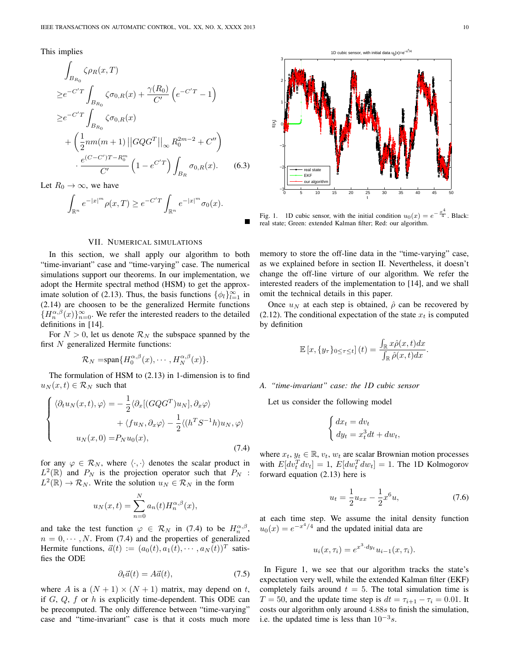This implies

$$
\int_{B_{R_0}} \zeta \rho_R(x, T)
$$
\n
$$
\geq e^{-C'T} \int_{B_{R_0}} \zeta \sigma_{0,R}(x) + \frac{\gamma(R_0)}{C'} \left( e^{-C'T} - 1 \right)
$$
\n
$$
\geq e^{-C'T} \int_{B_{R_0}} \zeta \sigma_{0,R}(x)
$$
\n
$$
+ \left( \frac{1}{2} n m(m+1) ||GQG^T||_{\infty} R_0^{2m-2} + C'' \right)
$$
\n
$$
\cdot \frac{e^{(C-C')T - R_0^m}}{C'} \left( 1 - e^{C'T} \right) \int_{B_R} \sigma_{0,R}(x). \tag{6.3}
$$

Let  $R_0 \to \infty$ , we have

$$
\int_{\mathbb{R}^n} e^{-|x|^m} \rho(x,T) \ge e^{-C'T} \int_{\mathbb{R}^n} e^{-|x|^m} \sigma_0(x).
$$

## VII. NUMERICAL SIMULATIONS

In this section, we shall apply our algorithm to both "time-invariant" case and "time-varying" case. The numerical simulations support our theorems. In our implementation, we adopt the Hermite spectral method (HSM) to get the approximate solution of (2.13). Thus, the basis functions  $\{\phi_l\}_{l=1}^{\infty}$  in (2.14) are choosen to be the generalized Hermite functions  ${H_n^{\alpha,\beta}(x)}_{n=0}^{\infty}$ . We refer the interested readers to the detailed definitions in [14].

For  $N > 0$ , let us denote  $\mathcal{R}_N$  the subspace spanned by the first N generalized Hermite functions:

$$
\mathcal{R}_N = \text{span}\{H_0^{\alpha,\beta}(x),\cdots,H_N^{\alpha,\beta}(x)\}.
$$

The formulation of HSM to (2.13) in 1-dimension is to find  $u_N(x, t) \in \mathcal{R}_N$  such that

$$
\begin{cases}\n\langle \partial_t u_N(x,t), \varphi \rangle = -\frac{1}{2} \langle \partial_x [(GQG^T)u_N], \partial_x \varphi \rangle \\
+ \langle fu_N, \partial_x \varphi \rangle - \frac{1}{2} \langle (h^T S^{-1} h) u_N, \varphi \rangle \\
u_N(x, 0) = P_N u_0(x),\n\end{cases}
$$
\n(7.4)

for any  $\varphi \in \mathcal{R}_N$ , where  $\langle \cdot, \cdot \rangle$  denotes the scalar product in  $L^2(\mathbb{R})$  and  $P_N$  is the projection operator such that  $P_N$ :  $L^2(\mathbb{R}) \to \mathcal{R}_N$ . Write the solution  $u_N \in \mathcal{R}_N$  in the form

$$
u_N(x,t) = \sum_{n=0}^N a_n(t) H_n^{\alpha,\beta}(x),
$$

and take the test function  $\varphi \in \mathcal{R}_N$  in (7.4) to be  $H_n^{\alpha,\beta}$ ,  $n = 0, \dots, N$ . From (7.4) and the properties of generalized Hermite functions,  $\vec{a}(t) := (a_0(t), a_1(t), \dots, a_N(t))^T$  satisfies the ODE

$$
\partial_t \vec{a}(t) = A\vec{a}(t),\tag{7.5}
$$

where A is a  $(N + 1) \times (N + 1)$  matrix, may depend on t, if  $G, Q, f$  or  $h$  is explicitly time-dependent. This ODE can be precomputed. The only difference between "time-varying" case and "time-invariant" case is that it costs much more



Fig. 1. 1D cubic sensor, with the initial condition  $u_0(x) = e^{-\frac{x^4}{4}}$ . Black: real state; Green: extended Kalman filter; Red: our algorithm.

memory to store the off-line data in the "time-varying" case, as we explained before in section II. Nevertheless, it doesn't change the off-line virture of our algorithm. We refer the interested readers of the implementation to [14], and we shall omit the technical details in this paper.

Once  $u_N$  at each step is obtained,  $\hat{\rho}$  can be recovered by (2.12). The conditional expectation of the state  $x_t$  is computed by definition

$$
\mathbb{E}\left[x,\{y_\tau\}_{0\leq\tau\leq t}\right](t) = \frac{\int_{\mathbb{R}} x\hat{\rho}(x,t)dx}{\int_{\mathbb{R}} \hat{\rho}(x,t)dx}.
$$

## *A. "time-invariant" case: the 1D cubic sensor*

Let us consider the following model

$$
\begin{cases} dx_t = dv_t \\ dy_t = x_t^3 dt + dw_t, \end{cases}
$$

where  $x_t, y_t \in \mathbb{R}, v_t, w_t$  are scalar Brownian motion processes with  $E[dv_t^T dv_t] = 1$ ,  $E[dw_t^T dw_t] = 1$ . The 1D Kolmogorov forward equation (2.13) here is

$$
u_t = \frac{1}{2}u_{xx} - \frac{1}{2}x^6u,\tag{7.6}
$$

at each time step. We assume the inital density function  $u_0(x) = e^{-x^4/4}$  and the updated initial data are

$$
u_i(x, \tau_i) = e^{x^3 \cdot dy_t} u_{i-1}(x, \tau_i).
$$

In Figure 1, we see that our algorithm tracks the state's expectation very well, while the extended Kalman filter (EKF) completely fails around  $t = 5$ . The total simulation time is  $T = 50$ , and the update time step is  $dt = \tau_{i+1} - \tau_i = 0.01$ . It costs our algorithm only around 4.88s to finish the simulation, i.e. the updated time is less than  $10^{-3} s$ .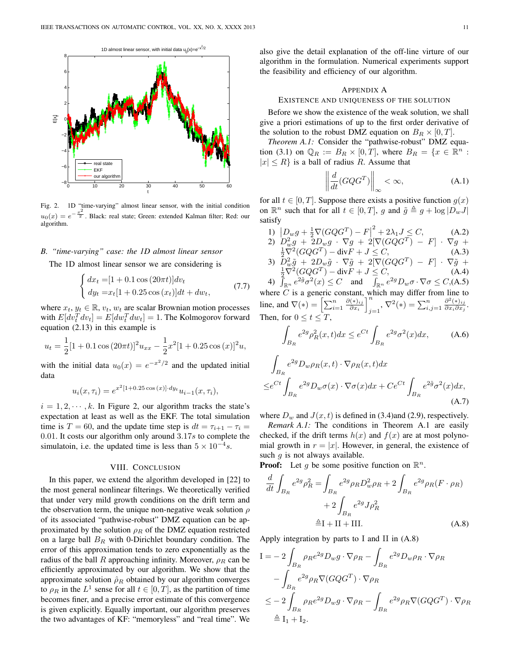

Fig. 2. 1D "time-varying" almost linear sensor, with the initial condition  $u_0(x) = e$  $-\frac{x^2}{2}$ . Black: real state; Green: extended Kalman filter; Red: our algorithm.

## *B. "time-varying" case: the 1D almost linear sensor*

The 1D almost linear sensor we are considering is

$$
\begin{cases} dx_t = [1 + 0.1 \cos(20\pi t)] dv_t \\ dy_t = x_t [1 + 0.25 \cos(x_t)] dt + dw_t, \end{cases}
$$
(7.7)

where  $x_t, y_t \in \mathbb{R}, v_t, w_t$  are scalar Brownian motion processes with  $E[dv_t^T dv_t] = E[dw_t^T dw_t] = 1$ . The Kolmogorov forward equation (2.13) in this example is

$$
u_t = \frac{1}{2} [1 + 0.1 \cos (20\pi t)]^2 u_{xx} - \frac{1}{2} x^2 [1 + 0.25 \cos (x)]^2 u,
$$

with the initial data  $u_0(x) = e^{-x^2/2}$  and the updated initial data

$$
u_i(x, \tau_i) = e^{x^2[1+0.25\cos(x)] \cdot dy_t} u_{i-1}(x, \tau_i),
$$

 $i = 1, 2, \dots, k$ . In Figure 2, our algorithm tracks the state's expectation at least as well as the EKF. The total simulation time is  $T = 60$ , and the update time step is  $dt = \tau_{i+1} - \tau_i =$ 0.01. It costs our algorithm only around  $3.17s$  to complete the simulatoin, i.e. the updated time is less than  $5 \times 10^{-4}$ s.

## VIII. CONCLUSION

In this paper, we extend the algorithm developed in [22] to the most general nonlinear filterings. We theoretically verified that under very mild growth conditions on the drift term and the observation term, the unique non-negative weak solution  $\rho$ of its associated "pathwise-robust" DMZ equation can be approximated by the solution  $\rho_R$  of the DMZ equation restricted on a large ball  $B_R$  with 0-Dirichlet boundary condition. The error of this approximation tends to zero exponentially as the radius of the ball R approaching infinity. Moreover,  $\rho_R$  can be efficiently approximated by our algorithm. We show that the approximate solution  $\rho_R$  obtained by our algorithm converges to  $\rho_R$  in the  $L^1$  sense for all  $t \in [0, T]$ , as the partition of time becomes finer, and a precise error estimate of this convergence is given explicitly. Equally important, our algorithm preserves the two advantages of KF: "memoryless" and "real time". We also give the detail explanation of the off-line virture of our algorithm in the formulation. Numerical experiments support the feasibility and efficiency of our algorithm.

#### APPENDIX A

#### EXISTENCE AND UNIQUENESS OF THE SOLUTION

Before we show the existence of the weak solution, we shall give a priori estimations of up to the first order derivative of the solution to the robust DMZ equation on  $B_R \times [0, T]$ .

*Theorem A.1:* Consider the "pathwise-robust" DMZ equation (3.1) on  $\mathbb{Q}_R := B_R \times [0,T]$ , where  $B_R = \{x \in \mathbb{R}^n :$  $|x| \le R$  is a ball of radius R. Assume that

$$
\left\| \frac{d}{dt} (G Q G^T) \right\|_{\infty} < \infty,
$$
\n(A.1)

for all  $t \in [0, T]$ . Suppose there exists a positive function  $g(x)$ on  $\mathbb{R}^n$  such that for all  $t \in [0, T]$ , g and  $\tilde{g} \triangleq g + \log |D_w J|$ satisfy

- 1)  $\left|D_w g + \frac{1}{2}\nabla(GQG^T) F\right|$  $2^{2} + 2\lambda_{1}J \leq C,$  (A.2) 2)  $D_w^2 g + 2D_w g \cdot \nabla g + 2[\nabla(GQG^T) - F] \cdot \nabla g +$ <br>  $\frac{1}{2}\nabla^2(GQG^T) - \text{div}F + J \leq C,$  (A.3)
- $(\begin{array}{cccc} \text{3)} \ \ \bar{D}^2_w \tilde{g} + 2 D_w \tilde{g} \ \ \ \ \ \ \nabla \tilde{g} + 2 [\nabla (G Q G^T) \ \ F] \ \ \ \ \ \ \nabla \tilde{g} + \frac{1}{2} \nabla^2 (G Q G^T) \text{div} F + J \leq C, \end{array} \tag{A.4}$

4)  $\int_{\mathbb{R}^n} e^{2\tilde{g}} \sigma^2(x) \leq C$  and  $\int_{\mathbb{R}^n} e^{2g} D_w \sigma \cdot \nabla \sigma \leq C,$ (A.5) where  $C$  is a generic constant, which may differ from line to line, and  $\nabla(*) = \left[\sum_{i=1}^n \frac{\partial(*)_{ij}}{\partial x_i}\right]$  $\left[\frac{(*)_{ij}}{\partial x_i}\right]_i^n$  $\sum_{j=1}^n, \nabla^2(*) = \sum_{i,j=1}^n$  $\partial^2(*)_{ij}$  $\frac{\partial\ \left( * \right)_{ij}}{\partial x_{i}\partial x_{j}}.$ Then, for  $0 \le t \le T$ ,

$$
\int_{B_R} e^{2g} \rho_R^2(x, t) dx \le e^{Ct} \int_{B_R} e^{2g} \sigma^2(x) dx,
$$
 (A.6)

$$
\int_{B_R} e^{2g} D_w \rho_R(x, t) \cdot \nabla \rho_R(x, t) dx
$$
\n
$$
\leq e^{Ct} \int_{B_R} e^{2g} D_w \sigma(x) \cdot \nabla \sigma(x) dx + Ce^{Ct} \int_{B_R} e^{2\tilde{g}} \sigma^2(x) dx,
$$
\n(A.7)

where  $D_w$  and  $J(x, t)$  is defined in (3.4)and (2.9), respectively.

*Remark A.1:* The conditions in Theorem A.1 are easily checked, if the drift terms  $h(x)$  and  $f(x)$  are at most polynomial growth in  $r = |x|$ . However, in general, the existence of such  $q$  is not always available.

**Proof:** Let g be some positive function on  $\mathbb{R}^n$ .

$$
\frac{d}{dt} \int_{B_R} e^{2g} \rho_R^2 = \int_{B_R} e^{2g} \rho_R D_w^2 \rho_R + 2 \int_{B_R} e^{2g} \rho_R (F \cdot \rho_R) \n+ 2 \int_{B_R} e^{2g} J \rho_R^2
$$
\n
$$
\triangleq I + II + III.
$$
\n(A.8)

Apply integration by parts to I and II in  $(A.8)$ 

$$
I = -2 \int_{B_R} \rho_R e^{2g} D_w g \cdot \nabla \rho_R - \int_{B_R} e^{2g} D_w \rho_R \cdot \nabla \rho_R
$$
  

$$
- \int_{B_R} e^{2g} \rho_R \nabla (G Q G^T) \cdot \nabla \rho_R
$$
  

$$
\leq -2 \int_{B_R} \rho_R e^{2g} D_w g \cdot \nabla \rho_R - \int_{B_R} e^{2g} \rho_R \nabla (G Q G^T) \cdot \nabla \rho_R
$$
  

$$
\triangleq I_1 + I_2.
$$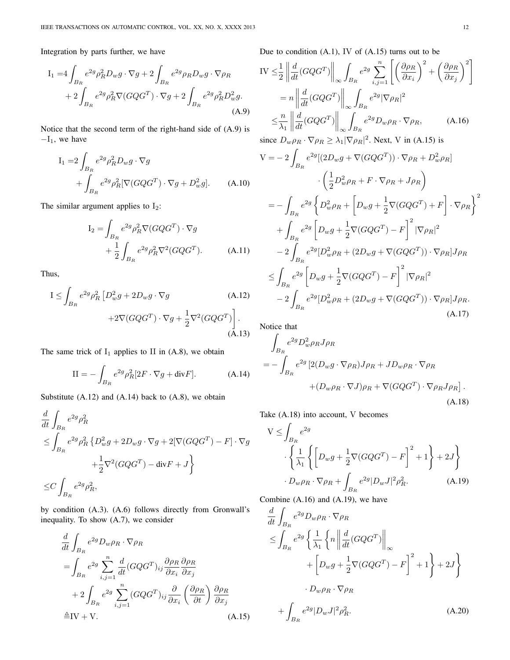Integration by parts further, we have

$$
I_{1} = 4 \int_{B_{R}} e^{2g} \rho_{R}^{2} D_{w} g \cdot \nabla g + 2 \int_{B_{R}} e^{2g} \rho_{R} D_{w} g \cdot \nabla \rho_{R} + 2 \int_{B_{R}} e^{2g} \rho_{R}^{2} \nabla (G Q G^{T}) \cdot \nabla g + 2 \int_{B_{R}} e^{2g} \rho_{R}^{2} D_{w}^{2} g.
$$
\n(A.9)

Notice that the second term of the right-hand side of (A.9) is  $-I_1$ , we have

$$
I_1 = 2 \int_{B_R} e^{2g} \rho_R^2 D_w g \cdot \nabla g
$$
  
+ 
$$
\int_{B_R} e^{2g} \rho_R^2 [\nabla (G Q G^T) \cdot \nabla g + D_w^2 g].
$$
 (A.10)

The similar argument applies to  $I_2$ :

$$
I_2 = \int_{B_R} e^{2g} \rho_R^2 \nabla (G Q G^T) \cdot \nabla g
$$
  
+ 
$$
\frac{1}{2} \int_{B_R} e^{2g} \rho_R^2 \nabla^2 (G Q G^T).
$$
 (A.11)

Thus,

$$
I \leq \int_{B_R} e^{2g} \rho_R^2 \left[ D_w^2 g + 2D_w g \cdot \nabla g \right. \tag{A.12}
$$

$$
+ 2\nabla (G Q G^T) \cdot \nabla g + \frac{1}{2} \nabla^2 (G Q G^T) \right]. \tag{A.13}
$$

The same trick of  $I_1$  applies to II in (A.8), we obtain

$$
II = -\int_{B_R} e^{2g} \rho_R^2 [2F \cdot \nabla g + \text{div} F]. \tag{A.14}
$$

Substitute  $(A.12)$  and  $(A.14)$  back to  $(A.8)$ , we obtain

$$
\frac{d}{dt} \int_{B_R} e^{2g} \rho_R^2
$$
\n
$$
\leq \int_{B_R} e^{2g} \rho_R^2 \left\{ D_w^2 g + 2D_w g \cdot \nabla g + 2[\nabla (GQG^T) - F] \cdot \nabla g + \frac{1}{2} \nabla^2 (GQG^T) - \text{div} F + J \right\}
$$
\n
$$
\leq C \int_{B_R} e^{2g} \rho_R^2,
$$

by condition (A.3). (A.6) follows directly from Gronwall's inequality. To show (A.7), we consider

$$
\frac{d}{dt} \int_{B_R} e^{2g} D_w \rho_R \cdot \nabla \rho_R
$$
\n
$$
= \int_{B_R} e^{2g} \sum_{i,j=1}^n \frac{d}{dt} (GQG^T)_{ij} \frac{\partial \rho_R}{\partial x_i} \frac{\partial \rho_R}{\partial x_j}
$$
\n
$$
+ 2 \int_{B_R} e^{2g} \sum_{i,j=1}^n (GQG^T)_{ij} \frac{\partial}{\partial x_i} \left(\frac{\partial \rho_R}{\partial t}\right) \frac{\partial \rho_R}{\partial x_j}
$$
\n
$$
\triangleq IV + V. \tag{A.15}
$$

Due to condition  $(A.1)$ , IV of  $(A.15)$  turns out to be

$$
IV \leq \frac{1}{2} \left\| \frac{d}{dt} (GQG^{T}) \right\|_{\infty} \int_{B_R} e^{2g} \sum_{i,j=1}^n \left[ \left( \frac{\partial \rho_R}{\partial x_i} \right)^2 + \left( \frac{\partial \rho_R}{\partial x_j} \right)^2 \right]
$$
  
\n
$$
= n \left\| \frac{d}{dt} (GQG^{T}) \right\|_{\infty} \int_{B_R} e^{2g} |\nabla \rho_R|^2
$$
  
\n
$$
\leq \frac{n}{\lambda_1} \left\| \frac{d}{dt} (GQG^{T}) \right\|_{\infty} \int_{B_R} e^{2g} D_w \rho_R \cdot \nabla \rho_R, \qquad (A.16)
$$
  
\nsince  $D_w \rho_R \cdot \nabla \rho_R \geq \lambda_1 |\nabla \rho_R|^2$ . Next, V in (A.15) is  
\n
$$
V = -2 \int_{B_R} e^{2g} [(2D_w g + \nabla (GQG^{T})) \cdot \nabla \rho_R + D_w^2 \rho_R]
$$
  
\n
$$
\cdot \left( \frac{1}{2} D_w^2 \rho_R + F \cdot \nabla \rho_R + J \rho_R \right)
$$
  
\n
$$
= - \int_{B_R} e^{2g} \left\{ D_w^2 \rho_R + \left[ D_w g + \frac{1}{2} \nabla (GQG^{T}) + F \right] \cdot \nabla \rho_R \right\}^2
$$
  
\n
$$
+ \int_{B_R} e^{2g} \left[ D_w g + \frac{1}{2} \nabla (GQG^{T}) - F \right]^2 |\nabla \rho_R|^2
$$
  
\n
$$
- 2 \int_{B_R} e^{2g} [D_w^2 \rho_R + (2D_w g + \nabla (GQG^{T})) \cdot \nabla \rho_R] J \rho_R
$$
  
\n
$$
\leq \int_{B_R} e^{2g} \left[ D_w g + \frac{1}{2} \nabla (GQG^{T}) - F \right]^2 |\nabla \rho_R|^2
$$
  
\n
$$
- 2 \int_{B_R} e^{2g} [D_w^2 \rho_R + (2D_w g + \nabla (GQG^{T})) \cdot \nabla \rho_R] J \rho_R
$$

Notice that

 $B_R$ 

$$
\int_{B_R} e^{2g} D_w^2 \rho_R J \rho_R
$$
\n
$$
= -\int_{B_R} e^{2g} \left[ 2(D_w g \cdot \nabla \rho_R) J \rho_R + JD_w \rho_R \cdot \nabla \rho_R \right. \left. + (D_w \rho_R \cdot \nabla J) \rho_R + \nabla (G Q G^T) \cdot \nabla \rho_R J \rho_R \right].
$$
\n(A.18)

Take (A.18) into account, V becomes

$$
V \leq \int_{B_R} e^{2g}
$$
  

$$
\left\{ \frac{1}{\lambda_1} \left\{ \left[ D_w g + \frac{1}{2} \nabla (G Q G^T) - F \right]^2 + 1 \right\} + 2J \right\}
$$
  

$$
\cdot D_w \rho_R \cdot \nabla \rho_R + \int_{B_R} e^{2g} |D_w J|^2 \rho_R^2.
$$
 (A.19)

Combine (A.16) and (A.19), we have

$$
\frac{d}{dt} \int_{B_R} e^{2g} D_w \rho_R \cdot \nabla \rho_R
$$
\n
$$
\leq \int_{B_R} e^{2g} \left\{ \frac{1}{\lambda_1} \left\{ n \left\| \frac{d}{dt} (G Q G^T) \right\|_{\infty} \right\} + \left[ D_w g + \frac{1}{2} \nabla (G Q G^T) - F \right]^2 + 1 \right\} + 2J \right\}
$$
\n
$$
\cdot D_w \rho_R \cdot \nabla \rho_R
$$
\n
$$
+ \int_{B_R} e^{2g} |D_w J|^2 \rho_R^2. \tag{A.20}
$$

(A.17)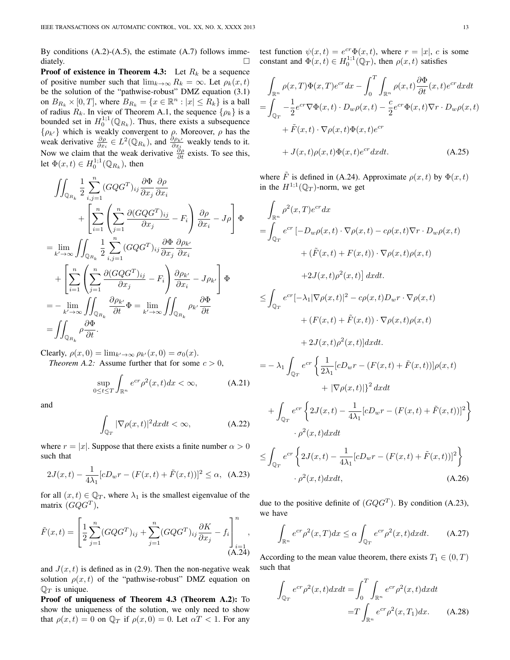By conditions  $(A.2)$ - $(A.5)$ , the estimate  $(A.7)$  follows immediately.

**Proof of existence in Theorem 4.3:** Let  $R_k$  be a sequence of positive number such that  $\lim_{k\to\infty} R_k = \infty$ . Let  $\rho_k(x,t)$ be the solution of the "pathwise-robust" DMZ equation (3.1) on  $B_{R_k} \times [0, T]$ , where  $B_{R_k} = \{x \in \mathbb{R}^n : |x| \le R_k\}$  is a ball of radius  $R_k$ . In view of Theorem A.1, the sequence  $\{\rho_k\}$  is a bounded set in  $H_0^{1,1}(\mathbb{Q}_{R_k})$ . Thus, there exists a subsequence bounded set in  $H_0$  ( $\mathcal{Q}_{R_k}$ ). Thus, there exists a subsequence  $\{\rho_{k'}\}$  which is weakly convergent to  $\rho$ . Moreover,  $\rho$  has the weak derivative  $\frac{\partial \rho}{\partial x_i} \in L^2(\mathbb{Q}_{R_k})$ , and  $\frac{\partial \rho_{k'}}{\partial x_i}$  weakly tends to it. Now we claim that the weak derivative  $\frac{\partial \rho}{\partial t}$  exists. To see this, let  $\Phi(x,t) \in H_0^{1,1}(\mathbb{Q}_{R_k})$ , then

$$
\iint_{\mathbb{Q}_{R_k}} \frac{1}{2} \sum_{i,j=1}^n (GQG^T)_{ij} \frac{\partial \Phi}{\partial x_j} \frac{\partial \rho}{\partial x_i} \n+ \left[ \sum_{i=1}^n \left( \sum_{j=1}^n \frac{\partial (GQG^T)_{ij}}{\partial x_j} - F_i \right) \frac{\partial \rho}{\partial x_i} - J\rho \right] \Phi \n= \lim_{k' \to \infty} \iint_{\mathbb{Q}_{R_k}} \frac{1}{2} \sum_{i,j=1}^n (GQG^T)_{ij} \frac{\partial \Phi}{\partial x_j} \frac{\partial \rho_{k'}}{\partial x_i} \n+ \left[ \sum_{i=1}^n \left( \sum_{j=1}^n \frac{\partial (GQG^T)_{ij}}{\partial x_j} - F_i \right) \frac{\partial \rho_{k'}}{\partial x_i} - J\rho_{k'} \right] \Phi \n= - \lim_{k' \to \infty} \iint_{\mathbb{Q}_{R_k}} \frac{\partial \rho_{k'}}{\partial t} \Phi = \lim_{k' \to \infty} \iint_{\mathbb{Q}_{R_k}} \rho_{k'} \frac{\partial \Phi}{\partial t} \n= \iint_{\mathbb{Q}_{R_k}} \rho \frac{\partial \Phi}{\partial t}.
$$

Clearly,  $\rho(x, 0) = \lim_{k' \to \infty} \rho_{k'}(x, 0) = \sigma_0(x)$ . *Theorem A.2:* Assume further that for some  $c > 0$ ,

$$
\sup_{0 \le t \le T} \int_{\mathbb{R}^n} e^{cr} \rho^2(x, t) dx < \infty,\tag{A.21}
$$

and

$$
\int_{\mathbb{Q}_T} |\nabla \rho(x, t)|^2 dx dt < \infty,
$$
\n(A.22)

where  $r = |x|$ . Suppose that there exists a finite number  $\alpha > 0$ such that

$$
2J(x,t) - \frac{1}{4\lambda_1} [cD_w r - (F(x,t) + \tilde{F}(x,t))]^2 \le \alpha, \quad \text{(A.23)}
$$

for all  $(x, t) \in \mathbb{Q}_T$ , where  $\lambda_1$  is the smallest eigenvalue of the matrix  $(GQG^T)$ ,

$$
\tilde{F}(x,t) = \left[\frac{1}{2}\sum_{j=1}^{n} (GQG^{T})_{ij} + \sum_{j=1}^{n} (GQG^{T})_{ij} \frac{\partial K}{\partial x_{j}} - f_{i}\right]_{i=1}^{n},
$$
\n(A.24)

and  $J(x, t)$  is defined as in (2.9). Then the non-negative weak solution  $\rho(x, t)$  of the "pathwise-robust" DMZ equation on  $\mathbb{Q}_T$  is unique.

Proof of uniqueness of Theorem 4.3 (Theorem A.2): To show the uniqueness of the solution, we only need to show that  $\rho(x, t) = 0$  on  $\mathbb{Q}_T$  if  $\rho(x, 0) = 0$ . Let  $\alpha T < 1$ . For any test function  $\psi(x,t) = e^{cr} \Phi(x,t)$ , where  $r = |x|$ , c is some constant and  $\Phi(x,t) \in H_0^{1,1}(\mathbb{Q}_T)$ , then  $\rho(x,t)$  satisfies

$$
\int_{\mathbb{R}^n} \rho(x,T) \Phi(x,T) e^{cr} dx - \int_0^T \int_{\mathbb{R}^n} \rho(x,t) \frac{\partial \Phi}{\partial t}(x,t) e^{cr} dx dt
$$
\n
$$
= \int_{\mathbb{Q}_T} -\frac{1}{2} e^{cr} \nabla \Phi(x,t) \cdot D_w \rho(x,t) - \frac{c}{2} e^{cr} \Phi(x,t) \nabla r \cdot D_w \rho(x,t)
$$
\n
$$
+ \tilde{F}(x,t) \cdot \nabla \rho(x,t) \Phi(x,t) e^{cr}
$$
\n
$$
+ J(x,t) \rho(x,t) \Phi(x,t) e^{cr} dx dt. \tag{A.25}
$$

where  $\tilde{F}$  is defined in (A.24). Approximate  $\rho(x, t)$  by  $\Phi(x, t)$ in the  $H^{1,1}(\mathbb{Q}_T)$ -norm, we get

$$
\int_{\mathbb{R}^n} \rho^2(x, T) e^{cr} dx
$$
\n
$$
= \int_{\mathbb{Q}_T} e^{cr} \left[ -D_w \rho(x, t) \cdot \nabla \rho(x, t) - c\rho(x, t) \nabla r \cdot D_w \rho(x, t) \right.
$$
\n
$$
+ (\tilde{F}(x, t) + F(x, t)) \cdot \nabla \rho(x, t) \rho(x, t)
$$
\n
$$
+ 2J(x, t) \rho^2(x, t) \right] dx dt.
$$
\n
$$
\leq \int_{\mathbb{Q}_T} e^{cr} \left[ -\lambda_1 |\nabla \rho(x, t)|^2 - c\rho(x, t) D_w r \cdot \nabla \rho(x, t) \right.
$$
\n
$$
+ (F(x, t) + \tilde{F}(x, t)) \cdot \nabla \rho(x, t) \rho(x, t)
$$
\n
$$
+ 2J(x, t) \rho^2(x, t) \right] dx dt.
$$
\n
$$
= -\lambda_1 \int_{\mathbb{Q}_T} e^{cr} \left\{ \frac{1}{2\lambda_1} [cD_w r - (F(x, t) + \tilde{F}(x, t))] \rho(x, t) \right.
$$
\n
$$
+ |\nabla \rho(x, t)| \right\}^2 dx dt
$$
\n
$$
+ \int_{\mathbb{Q}_T} e^{cr} \left\{ 2J(x, t) - \frac{1}{4\lambda_1} [cD_w r - (F(x, t) + \tilde{F}(x, t))]^2 \right\} \cdot \rho^2(x, t) dx dt
$$

$$
\leq \int_{\mathbb{Q}_T} e^{cr} \left\{ 2J(x,t) - \frac{1}{4\lambda_1} [cD_w r - (F(x,t) + \tilde{F}(x,t))]^2 \right\}
$$

$$
\cdot \rho^2(x,t) dx dt, \tag{A.26}
$$

due to the positive definite of  $(GQG^{T})$ . By condition (A.23), we have

$$
\int_{\mathbb{R}^n} e^{cr} \rho^2(x, T) dx \le \alpha \int_{\mathbb{Q}_T} e^{cr} \rho^2(x, t) dx dt. \tag{A.27}
$$

According to the mean value theorem, there exists  $T_1 \in (0, T)$ such that

$$
\int_{\mathbb{Q}_T} e^{cr} \rho^2(x, t) dx dt = \int_0^T \int_{\mathbb{R}^n} e^{cr} \rho^2(x, t) dx dt
$$

$$
= T \int_{\mathbb{R}^n} e^{cr} \rho^2(x, T_1) dx. \tag{A.28}
$$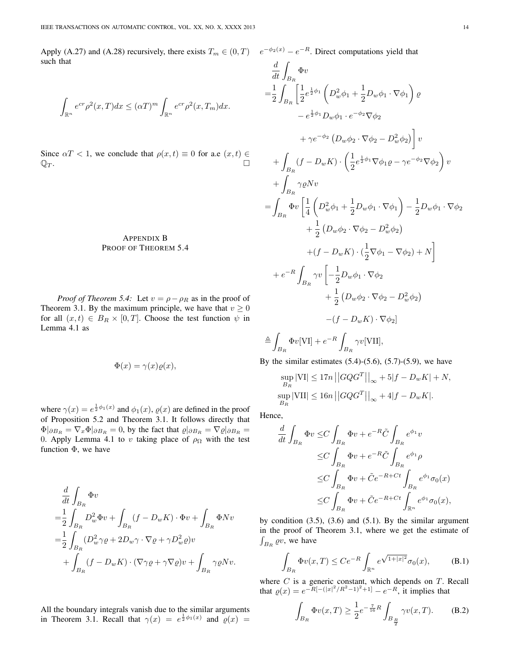Apply (A.27) and (A.28) recursively, there exists  $T_m \in (0,T)$   $e^{-\phi_2(x)} - e^{-R}$ . Direct computations yield that such that

$$
\int_{\mathbb{R}^n} e^{cr} \rho^2(x,T) dx \leq (\alpha T)^m \int_{\mathbb{R}^n} e^{cr} \rho^2(x,T_m) dx.
$$

Since  $\alpha T < 1$ , we conclude that  $\rho(x, t) \equiv 0$  for a.e  $(x, t) \in$  $\mathbb{Q}_T$ .

# APPENDIX B PROOF OF THEOREM 5.4

*Proof of Theorem 5.4:* Let  $v = \rho - \rho_R$  as in the proof of Theorem 3.1. By the maximum principle, we have that  $v \ge 0$ for all  $(x, t) \in B_R \times [0, T]$ . Choose the test function  $\psi$  in Lemma 4.1 as

$$
\Phi(x) = \gamma(x)\varrho(x),
$$

where  $\gamma(x) = e^{\frac{1}{2}\phi_1(x)}$  and  $\phi_1(x)$ ,  $\varrho(x)$  are defined in the proof of Proposition 5.2 and Theorem 3.1. It follows directly that  $\Phi|_{\partial B_R} = \nabla_x \Phi|_{\partial B_R} = 0$ , by the fact that  $\varrho|_{\partial B_R} = \nabla \varrho|_{\partial B_R} =$ 0. Apply Lemma 4.1 to v taking place of  $\rho_{\Omega}$  with the test function  $\Phi$ , we have

$$
\begin{split} &\frac{d}{dt}\int_{B_R}\Phi v\\ =&\frac{1}{2}\int_{B_R}D_w^2\Phi v+\int_{B_R}\left(f-D_wK\right)\cdot\Phi v+\int_{B_R}\Phi Nv\\ =&\frac{1}{2}\int_{B_R}(D_w^2\gamma\varrho+2D_w\gamma\cdot\nabla\varrho+\gamma D_w^2\varrho)v\\ &+\int_{B_R}(f-D_wK)\cdot(\nabla\gamma\varrho+\gamma\nabla\varrho)v+\int_{B_R}\gamma\varrho Nv. \end{split}
$$

All the boundary integrals vanish due to the similar arguments in Theorem 3.1. Recall that  $\gamma(x) = e^{\frac{1}{2}\phi_1(x)}$  and  $\rho(x) =$ 

$$
\frac{d}{dt} \int_{B_R} \Phi v
$$
\n
$$
= \frac{1}{2} \int_{B_R} \left[ \frac{1}{2} e^{\frac{1}{2}\phi_1} \left( D_w^2 \phi_1 + \frac{1}{2} D_w \phi_1 \cdot \nabla \phi_1 \right) \varrho \right. \\
\left. - e^{\frac{1}{2}\phi_1} D_w \phi_1 \cdot e^{-\phi_2} \nabla \phi_2
$$
\n
$$
+ \gamma e^{-\phi_2} \left( D_w \phi_2 \cdot \nabla \phi_2 - D_w^2 \phi_2 \right) \right] v
$$
\n
$$
+ \int_{B_R} (f - D_w K) \cdot \left( \frac{1}{2} e^{\frac{1}{2}\phi_1} \nabla \phi_1 \varrho - \gamma e^{-\phi_2} \nabla \phi_2 \right) v
$$
\n
$$
+ \int_{B_R} \gamma \varrho N v
$$
\n
$$
= \int_{B_R} \Phi v \left[ \frac{1}{4} \left( D_w^2 \phi_1 + \frac{1}{2} D_w \phi_1 \cdot \nabla \phi_1 \right) - \frac{1}{2} D_w \phi_1 \cdot \nabla \phi_2 \right. \\
\left. + \frac{1}{2} \left( D_w \phi_2 \cdot \nabla \phi_2 - D_w^2 \phi_2 \right) \right. \\
\left. + (f - D_w K) \cdot \left( \frac{1}{2} \nabla \phi_1 - \nabla \phi_2 \right) + N \right]
$$
\n
$$
+ e^{-R} \int_{B_R} \gamma v \left[ -\frac{1}{2} D_w \phi_1 \cdot \nabla \phi_2 \right. \\
\left. + \frac{1}{2} \left( D_w \phi_2 \cdot \nabla \phi_2 - D_w^2 \phi_2 \right) \right. \\
\left. - (f - D_w K) \cdot \nabla \phi_2 \right]
$$
\n
$$
\triangleq \int_{B_R} \Phi v[VI] + e^{-R} \int_{B_R} \gamma v[VII],
$$

By the similar estimates  $(5.4)$ - $(5.6)$ ,  $(5.7)$ - $(5.9)$ , we have

$$
\sup_{B_R} |\text{VI}| \le 17n ||GQG^T||_{\infty} + 5|f - D_wK| + N,
$$
  
\n
$$
\sup_{B_R} |\text{VII}| \le 16n ||GQG^T||_{\infty} + 4|f - D_wK|.
$$

Hence,

$$
\frac{d}{dt} \int_{B_R} \Phi v \leq C \int_{B_R} \Phi v + e^{-R} \tilde{C} \int_{B_R} e^{\phi_1} v
$$
\n
$$
\leq C \int_{B_R} \Phi v + e^{-R} \tilde{C} \int_{B_R} e^{\phi_1} \rho
$$
\n
$$
\leq C \int_{B_R} \Phi v + \tilde{C} e^{-R + Ct} \int_{B_R} e^{\phi_1} \sigma_0(x)
$$
\n
$$
\leq C \int_{B_R} \Phi v + \tilde{C} e^{-R + Ct} \int_{\mathbb{R}^n} e^{\phi_1} \sigma_0(x),
$$

by condition  $(3.5)$ ,  $(3.6)$  and  $(5.1)$ . By the similar argument in the proof of Theorem 3.1, where we get the estimate of  $\int_{B_R} \varrho v$ , we have

$$
\int_{B_R} \Phi v(x,T) \le Ce^{-R} \int_{\mathbb{R}^n} e^{\sqrt{1+|x|^2}} \sigma_0(x), \quad (B.1)
$$

where  $C$  is a generic constant, which depends on  $T$ . Recall that  $\rho(x) = e^{-R[-(|x|^2/R^2-1)^2+1]} - e^{-R}$ , it implies that

$$
\int_{B_R} \Phi v(x,T) \ge \frac{1}{2} e^{-\frac{7}{16}R} \int_{B_{\frac{R}{2}}} \gamma v(x,T). \tag{B.2}
$$